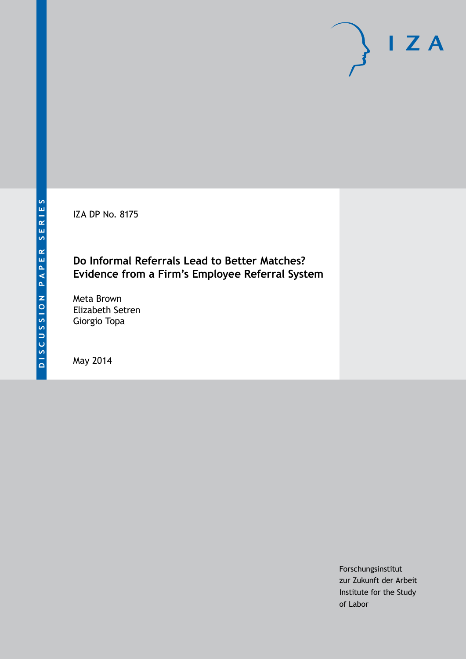IZA DP No. 8175

## **Do Informal Referrals Lead to Better Matches? Evidence from a Firm's Employee Referral System**

Meta Brown Elizabeth Setren Giorgio Topa

May 2014

Forschungsinstitut zur Zukunft der Arbeit Institute for the Study of Labor

 $I Z A$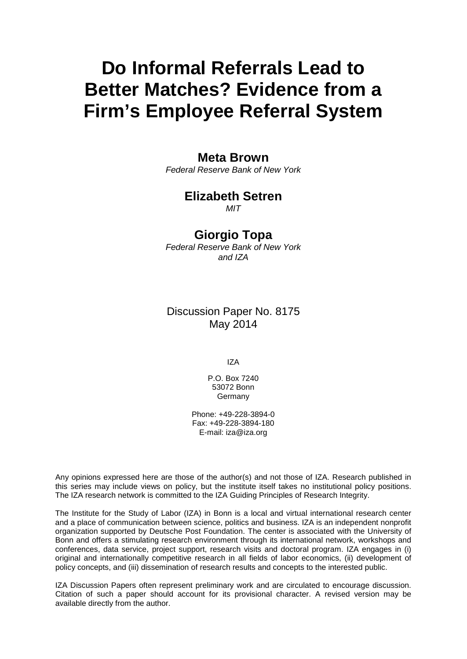# **Do Informal Referrals Lead to Better Matches? Evidence from a Firm's Employee Referral System**

## **Meta Brown**

*Federal Reserve Bank of New York*

## **Elizabeth Setren**

*MIT*

## **Giorgio Topa**

*Federal Reserve Bank of New York and IZA*

Discussion Paper No. 8175 May 2014

IZA

P.O. Box 7240 53072 Bonn **Germany** 

Phone: +49-228-3894-0 Fax: +49-228-3894-180 E-mail: [iza@iza.org](mailto:iza@iza.org)

Any opinions expressed here are those of the author(s) and not those of IZA. Research published in this series may include views on policy, but the institute itself takes no institutional policy positions. The IZA research network is committed to the IZA Guiding Principles of Research Integrity.

The Institute for the Study of Labor (IZA) in Bonn is a local and virtual international research center and a place of communication between science, politics and business. IZA is an independent nonprofit organization supported by Deutsche Post Foundation. The center is associated with the University of Bonn and offers a stimulating research environment through its international network, workshops and conferences, data service, project support, research visits and doctoral program. IZA engages in (i) original and internationally competitive research in all fields of labor economics, (ii) development of policy concepts, and (iii) dissemination of research results and concepts to the interested public.

<span id="page-1-0"></span>IZA Discussion Papers often represent preliminary work and are circulated to encourage discussion. Citation of such a paper should account for its provisional character. A revised version may be available directly from the author.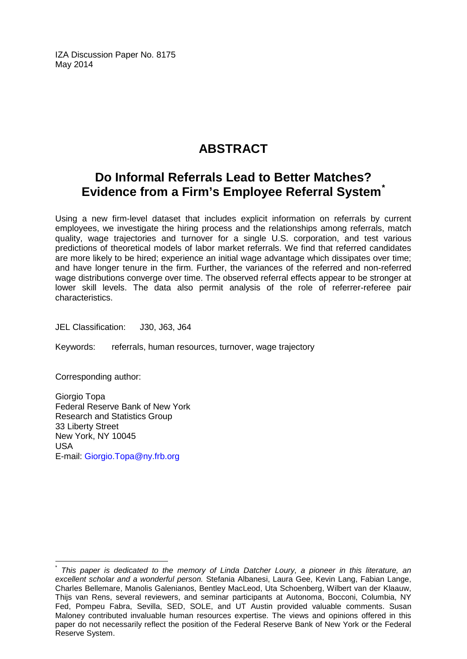IZA Discussion Paper No. 8175 May 2014

## **ABSTRACT**

## **Do Informal Referrals Lead to Better Matches? Evidence from a Firm's Employee Referral System[\\*](#page-1-0)**

Using a new firm-level dataset that includes explicit information on referrals by current employees, we investigate the hiring process and the relationships among referrals, match quality, wage trajectories and turnover for a single U.S. corporation, and test various predictions of theoretical models of labor market referrals. We find that referred candidates are more likely to be hired; experience an initial wage advantage which dissipates over time; and have longer tenure in the firm. Further, the variances of the referred and non-referred wage distributions converge over time. The observed referral effects appear to be stronger at lower skill levels. The data also permit analysis of the role of referrer-referee pair characteristics.

JEL Classification: J30, J63, J64

Keywords: referrals, human resources, turnover, wage trajectory

Corresponding author:

Giorgio Topa Federal Reserve Bank of New York Research and Statistics Group 33 Liberty Street New York, NY 10045 USA E-mail: [Giorgio.Topa@ny.frb.org](mailto:Giorgio.Topa@ny.frb.org)

\* *This paper is dedicated to the memory of Linda Datcher Loury, a pioneer in this literature, an excellent scholar and a wonderful person.* Stefania Albanesi, Laura Gee, Kevin Lang, Fabian Lange, Charles Bellemare, Manolis Galenianos, Bentley MacLeod, Uta Schoenberg, Wilbert van der Klaauw, Thijs van Rens, several reviewers, and seminar participants at Autonoma, Bocconi, Columbia, NY Fed, Pompeu Fabra, Sevilla, SED, SOLE, and UT Austin provided valuable comments. Susan Maloney contributed invaluable human resources expertise. The views and opinions offered in this paper do not necessarily reflect the position of the Federal Reserve Bank of New York or the Federal Reserve System.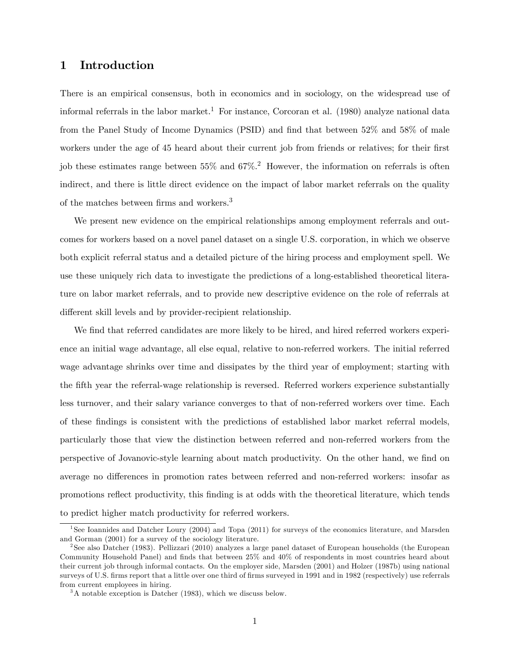### 1 Introduction

There is an empirical consensus, both in economics and in sociology, on the widespread use of informal referrals in the labor market.<sup>1</sup> For instance, Corcoran et al.  $(1980)$  analyze national data from the Panel Study of Income Dynamics (PSID) and find that between  $52\%$  and  $58\%$  of male workers under the age of 45 heard about their current job from friends or relatives; for their first job these estimates range between  $55\%$  and  $67\%$ .<sup>2</sup> However, the information on referrals is often indirect, and there is little direct evidence on the impact of labor market referrals on the quality of the matches between firms and workers.<sup>3</sup>

We present new evidence on the empirical relationships among employment referrals and outcomes for workers based on a novel panel dataset on a single U.S. corporation, in which we observe both explicit referral status and a detailed picture of the hiring process and employment spell. We use these uniquely rich data to investigate the predictions of a long-established theoretical literature on labor market referrals, and to provide new descriptive evidence on the role of referrals at different skill levels and by provider-recipient relationship.

We find that referred candidates are more likely to be hired, and hired referred workers experience an initial wage advantage, all else equal, relative to non-referred workers. The initial referred wage advantage shrinks over time and dissipates by the third year of employment; starting with the Öfth year the referral-wage relationship is reversed. Referred workers experience substantially less turnover, and their salary variance converges to that of non-referred workers over time. Each of these Öndings is consistent with the predictions of established labor market referral models, particularly those that view the distinction between referred and non-referred workers from the perspective of Jovanovic-style learning about match productivity. On the other hand, we Önd on average no differences in promotion rates between referred and non-referred workers: insofar as promotions reflect productivity, this finding is at odds with the theoretical literature, which tends to predict higher match productivity for referred workers.

<sup>&</sup>lt;sup>1</sup>See Ioannides and Datcher Loury (2004) and Topa (2011) for surveys of the economics literature, and Marsden and Gorman (2001) for a survey of the sociology literature.

<sup>2</sup> See also Datcher (1983). Pellizzari (2010) analyzes a large panel dataset of European households (the European Community Household Panel) and finds that between 25% and 40% of respondents in most countries heard about their current job through informal contacts. On the employer side, Marsden (2001) and Holzer (1987b) using national surveys of U.S. firms report that a little over one third of firms surveyed in 1991 and in 1982 (respectively) use referrals from current employees in hiring.

<sup>&</sup>lt;sup>3</sup>A notable exception is Datcher (1983), which we discuss below.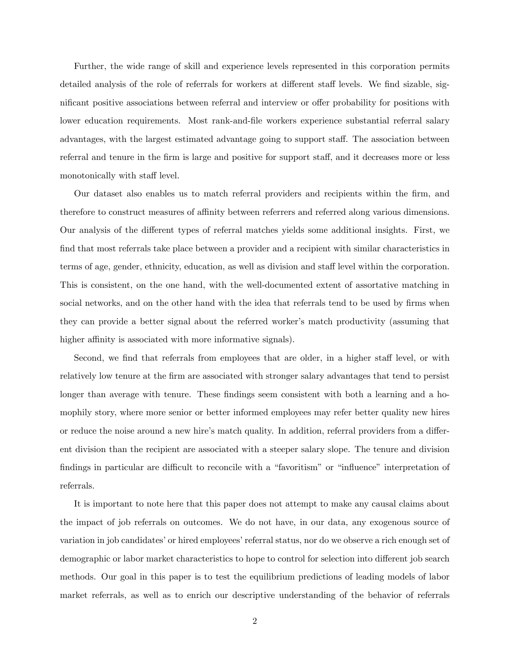Further, the wide range of skill and experience levels represented in this corporation permits detailed analysis of the role of referrals for workers at different staff levels. We find sizable, significant positive associations between referral and interview or offer probability for positions with lower education requirements. Most rank-and-file workers experience substantial referral salary advantages, with the largest estimated advantage going to support staff. The association between referral and tenure in the firm is large and positive for support staff, and it decreases more or less monotonically with staff level.

Our dataset also enables us to match referral providers and recipients within the Örm, and therefore to construct measures of affinity between referrers and referred along various dimensions. Our analysis of the different types of referral matches yields some additional insights. First, we find that most referrals take place between a provider and a recipient with similar characteristics in terms of age, gender, ethnicity, education, as well as division and staff level within the corporation. This is consistent, on the one hand, with the well-documented extent of assortative matching in social networks, and on the other hand with the idea that referrals tend to be used by firms when they can provide a better signal about the referred worker's match productivity (assuming that higher affinity is associated with more informative signals).

Second, we find that referrals from employees that are older, in a higher staff level, or with relatively low tenure at the Örm are associated with stronger salary advantages that tend to persist longer than average with tenure. These findings seem consistent with both a learning and a homophily story, where more senior or better informed employees may refer better quality new hires or reduce the noise around a new hire's match quality. In addition, referral providers from a different division than the recipient are associated with a steeper salary slope. The tenure and division findings in particular are difficult to reconcile with a "favoritism" or "influence" interpretation of referrals.

It is important to note here that this paper does not attempt to make any causal claims about the impact of job referrals on outcomes. We do not have, in our data, any exogenous source of variation in job candidates' or hired employees' referral status, nor do we observe a rich enough set of demographic or labor market characteristics to hope to control for selection into different job search methods. Our goal in this paper is to test the equilibrium predictions of leading models of labor market referrals, as well as to enrich our descriptive understanding of the behavior of referrals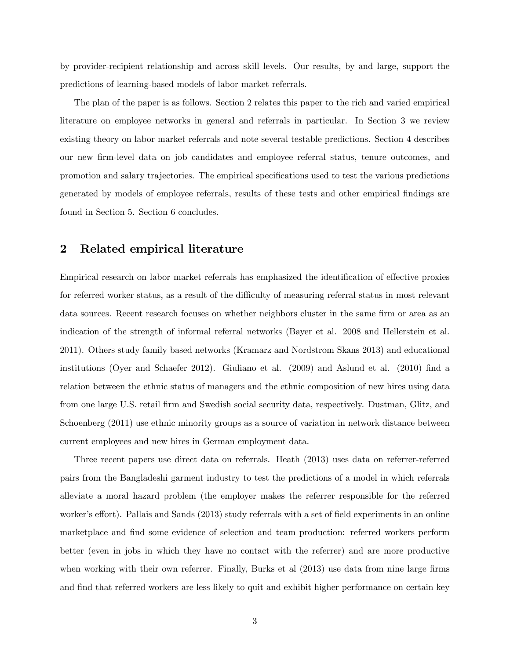by provider-recipient relationship and across skill levels. Our results, by and large, support the predictions of learning-based models of labor market referrals.

The plan of the paper is as follows. Section 2 relates this paper to the rich and varied empirical literature on employee networks in general and referrals in particular. In Section 3 we review existing theory on labor market referrals and note several testable predictions. Section 4 describes our new Örm-level data on job candidates and employee referral status, tenure outcomes, and promotion and salary trajectories. The empirical speciÖcations used to test the various predictions generated by models of employee referrals, results of these tests and other empirical Öndings are found in Section 5. Section 6 concludes.

### 2 Related empirical literature

Empirical research on labor market referrals has emphasized the identification of effective proxies for referred worker status, as a result of the difficulty of measuring referral status in most relevant data sources. Recent research focuses on whether neighbors cluster in the same firm or area as an indication of the strength of informal referral networks (Bayer et al. 2008 and Hellerstein et al. 2011). Others study family based networks (Kramarz and Nordstrom Skans 2013) and educational institutions (Oyer and Schaefer 2012). Giuliano et al. (2009) and Aslund et al. (2010) find a relation between the ethnic status of managers and the ethnic composition of new hires using data from one large U.S. retail Örm and Swedish social security data, respectively. Dustman, Glitz, and Schoenberg (2011) use ethnic minority groups as a source of variation in network distance between current employees and new hires in German employment data.

Three recent papers use direct data on referrals. Heath (2013) uses data on referrer-referred pairs from the Bangladeshi garment industry to test the predictions of a model in which referrals alleviate a moral hazard problem (the employer makes the referrer responsible for the referred worker's effort). Pallais and Sands (2013) study referrals with a set of field experiments in an online marketplace and find some evidence of selection and team production: referred workers perform better (even in jobs in which they have no contact with the referrer) and are more productive when working with their own referrer. Finally, Burks et al  $(2013)$  use data from nine large firms and find that referred workers are less likely to quit and exhibit higher performance on certain key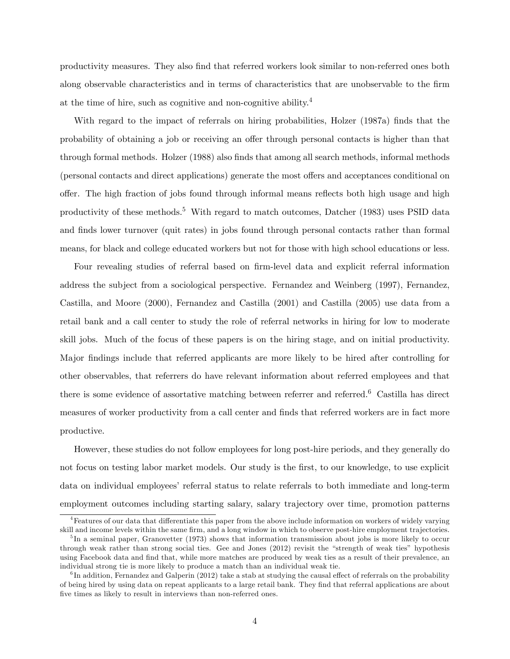productivity measures. They also find that referred workers look similar to non-referred ones both along observable characteristics and in terms of characteristics that are unobservable to the firm at the time of hire, such as cognitive and non-cognitive ability.<sup>4</sup>

With regard to the impact of referrals on hiring probabilities, Holzer (1987a) finds that the probability of obtaining a job or receiving an offer through personal contacts is higher than that through formal methods. Holzer (1988) also Önds that among all search methods, informal methods (personal contacts and direct applications) generate the most offers and acceptances conditional on offer. The high fraction of jobs found through informal means reflects both high usage and high productivity of these methods.<sup>5</sup> With regard to match outcomes, Datcher (1983) uses PSID data and finds lower turnover (quit rates) in jobs found through personal contacts rather than formal means, for black and college educated workers but not for those with high school educations or less.

Four revealing studies of referral based on firm-level data and explicit referral information address the subject from a sociological perspective. Fernandez and Weinberg (1997), Fernandez, Castilla, and Moore (2000), Fernandez and Castilla (2001) and Castilla (2005) use data from a retail bank and a call center to study the role of referral networks in hiring for low to moderate skill jobs. Much of the focus of these papers is on the hiring stage, and on initial productivity. Major Öndings include that referred applicants are more likely to be hired after controlling for other observables, that referrers do have relevant information about referred employees and that there is some evidence of assortative matching between referrer and referred.<sup>6</sup> Castilla has direct measures of worker productivity from a call center and finds that referred workers are in fact more productive.

However, these studies do not follow employees for long post-hire periods, and they generally do not focus on testing labor market models. Our study is the first, to our knowledge, to use explicit data on individual employees' referral status to relate referrals to both immediate and long-term employment outcomes including starting salary, salary trajectory over time, promotion patterns

<sup>&</sup>lt;sup>4</sup>Features of our data that differentiate this paper from the above include information on workers of widely varying skill and income levels within the same firm, and a long window in which to observe post-hire employment trajectories.

<sup>&</sup>lt;sup>5</sup>In a seminal paper, Granovetter (1973) shows that information transmission about jobs is more likely to occur through weak rather than strong social ties. Gee and Jones (2012) revisit the "strength of weak ties" hypothesis using Facebook data and find that, while more matches are produced by weak ties as a result of their prevalence, an individual strong tie is more likely to produce a match than an individual weak tie.

 ${}^{6}$ In addition, Fernandez and Galperin (2012) take a stab at studying the causal effect of referrals on the probability of being hired by using data on repeat applicants to a large retail bank. They find that referral applications are about five times as likely to result in interviews than non-referred ones.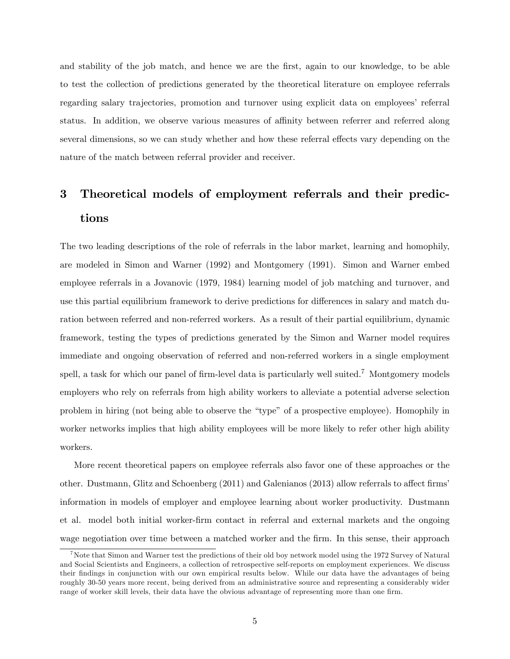and stability of the job match, and hence we are the first, again to our knowledge, to be able to test the collection of predictions generated by the theoretical literature on employee referrals regarding salary trajectories, promotion and turnover using explicit data on employees' referral status. In addition, we observe various measures of affinity between referrer and referred along several dimensions, so we can study whether and how these referral effects vary depending on the nature of the match between referral provider and receiver.

## 3 Theoretical models of employment referrals and their predictions

The two leading descriptions of the role of referrals in the labor market, learning and homophily, are modeled in Simon and Warner (1992) and Montgomery (1991). Simon and Warner embed employee referrals in a Jovanovic (1979, 1984) learning model of job matching and turnover, and use this partial equilibrium framework to derive predictions for differences in salary and match duration between referred and non-referred workers. As a result of their partial equilibrium, dynamic framework, testing the types of predictions generated by the Simon and Warner model requires immediate and ongoing observation of referred and non-referred workers in a single employment spell, a task for which our panel of firm-level data is particularly well suited.<sup>7</sup> Montgomery models employers who rely on referrals from high ability workers to alleviate a potential adverse selection problem in hiring (not being able to observe the "type" of a prospective employee). Homophily in worker networks implies that high ability employees will be more likely to refer other high ability workers.

More recent theoretical papers on employee referrals also favor one of these approaches or the other. Dustmann, Glitz and Schoenberg  $(2011)$  and Galenianos  $(2013)$  allow referrals to affect firms' information in models of employer and employee learning about worker productivity. Dustmann et al. model both initial worker-Örm contact in referral and external markets and the ongoing wage negotiation over time between a matched worker and the firm. In this sense, their approach

<sup>&</sup>lt;sup>7</sup>Note that Simon and Warner test the predictions of their old boy network model using the 1972 Survey of Natural and Social Scientists and Engineers, a collection of retrospective self-reports on employment experiences. We discuss their Öndings in conjunction with our own empirical results below. While our data have the advantages of being roughly 30-50 years more recent, being derived from an administrative source and representing a considerably wider range of worker skill levels, their data have the obvious advantage of representing more than one firm.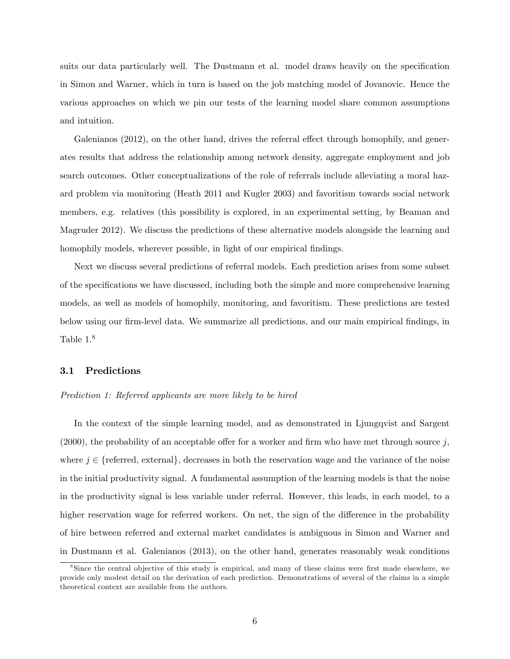suits our data particularly well. The Dustmann et al. model draws heavily on the specification in Simon and Warner, which in turn is based on the job matching model of Jovanovic. Hence the various approaches on which we pin our tests of the learning model share common assumptions and intuition.

Galenianos (2012), on the other hand, drives the referral effect through homophily, and generates results that address the relationship among network density, aggregate employment and job search outcomes. Other conceptualizations of the role of referrals include alleviating a moral hazard problem via monitoring (Heath 2011 and Kugler 2003) and favoritism towards social network members, e.g. relatives (this possibility is explored, in an experimental setting, by Beaman and Magruder 2012). We discuss the predictions of these alternative models alongside the learning and homophily models, wherever possible, in light of our empirical findings.

Next we discuss several predictions of referral models. Each prediction arises from some subset of the specifications we have discussed, including both the simple and more comprehensive learning models, as well as models of homophily, monitoring, and favoritism. These predictions are tested below using our firm-level data. We summarize all predictions, and our main empirical findings, in Table 1.<sup>8</sup>

#### 3.1 Predictions

#### Prediction 1: Referred applicants are more likely to be hired

In the context of the simple learning model, and as demonstrated in Ljungqvist and Sargent  $(2000)$ , the probability of an acceptable offer for a worker and firm who have met through source j, where  $j \in \{$  referred, external $\}$ , decreases in both the reservation wage and the variance of the noise in the initial productivity signal. A fundamental assumption of the learning models is that the noise in the productivity signal is less variable under referral. However, this leads, in each model, to a higher reservation wage for referred workers. On net, the sign of the difference in the probability of hire between referred and external market candidates is ambiguous in Simon and Warner and in Dustmann et al. Galenianos (2013), on the other hand, generates reasonably weak conditions

<sup>&</sup>lt;sup>8</sup>Since the central objective of this study is empirical, and many of these claims were first made elsewhere, we provide only modest detail on the derivation of each prediction. Demonstrations of several of the claims in a simple theoretical context are available from the authors.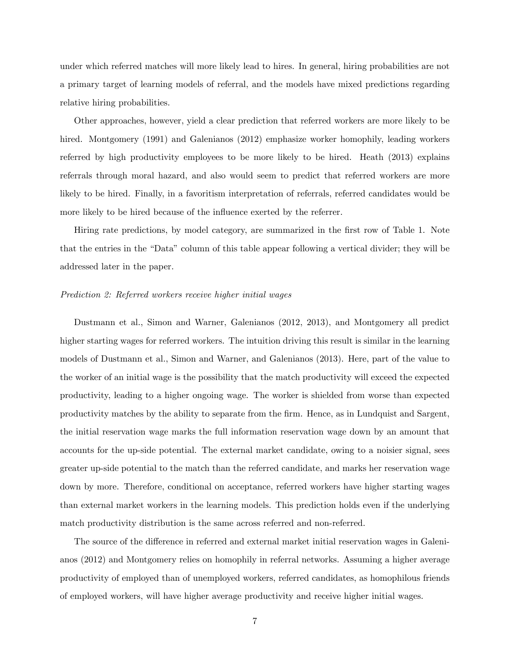under which referred matches will more likely lead to hires. In general, hiring probabilities are not a primary target of learning models of referral, and the models have mixed predictions regarding relative hiring probabilities.

Other approaches, however, yield a clear prediction that referred workers are more likely to be hired. Montgomery (1991) and Galenianos (2012) emphasize worker homophily, leading workers referred by high productivity employees to be more likely to be hired. Heath (2013) explains referrals through moral hazard, and also would seem to predict that referred workers are more likely to be hired. Finally, in a favoritism interpretation of referrals, referred candidates would be more likely to be hired because of the influence exerted by the referrer.

Hiring rate predictions, by model category, are summarized in the first row of Table 1. Note that the entries in the "Data" column of this table appear following a vertical divider; they will be addressed later in the paper.

#### Prediction 2: Referred workers receive higher initial wages

Dustmann et al., Simon and Warner, Galenianos (2012, 2013), and Montgomery all predict higher starting wages for referred workers. The intuition driving this result is similar in the learning models of Dustmann et al., Simon and Warner, and Galenianos (2013). Here, part of the value to the worker of an initial wage is the possibility that the match productivity will exceed the expected productivity, leading to a higher ongoing wage. The worker is shielded from worse than expected productivity matches by the ability to separate from the firm. Hence, as in Lundquist and Sargent, the initial reservation wage marks the full information reservation wage down by an amount that accounts for the up-side potential. The external market candidate, owing to a noisier signal, sees greater up-side potential to the match than the referred candidate, and marks her reservation wage down by more. Therefore, conditional on acceptance, referred workers have higher starting wages than external market workers in the learning models. This prediction holds even if the underlying match productivity distribution is the same across referred and non-referred.

The source of the difference in referred and external market initial reservation wages in Galenianos (2012) and Montgomery relies on homophily in referral networks. Assuming a higher average productivity of employed than of unemployed workers, referred candidates, as homophilous friends of employed workers, will have higher average productivity and receive higher initial wages.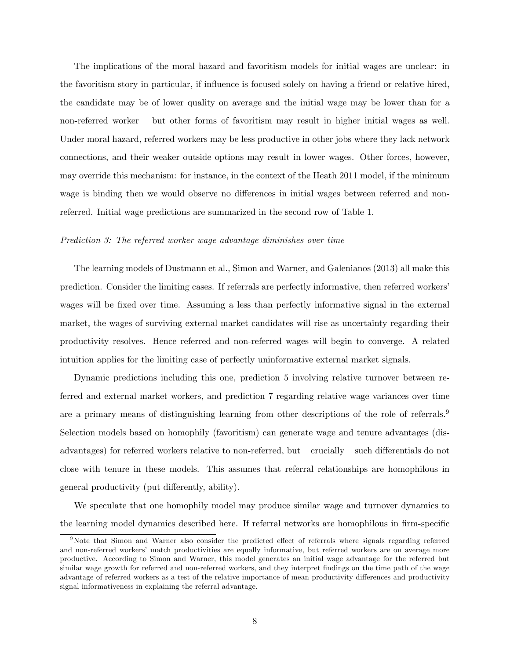The implications of the moral hazard and favoritism models for initial wages are unclear: in the favoritism story in particular, if ináuence is focused solely on having a friend or relative hired, the candidate may be of lower quality on average and the initial wage may be lower than for a non-referred worker  $-$  but other forms of favoritism may result in higher initial wages as well. Under moral hazard, referred workers may be less productive in other jobs where they lack network connections, and their weaker outside options may result in lower wages. Other forces, however, may override this mechanism: for instance, in the context of the Heath 2011 model, if the minimum wage is binding then we would observe no differences in initial wages between referred and nonreferred. Initial wage predictions are summarized in the second row of Table 1.

#### Prediction 3: The referred worker wage advantage diminishes over time

The learning models of Dustmann et al., Simon and Warner, and Galenianos (2013) all make this prediction. Consider the limiting cases. If referrals are perfectly informative, then referred workers' wages will be fixed over time. Assuming a less than perfectly informative signal in the external market, the wages of surviving external market candidates will rise as uncertainty regarding their productivity resolves. Hence referred and non-referred wages will begin to converge. A related intuition applies for the limiting case of perfectly uninformative external market signals.

Dynamic predictions including this one, prediction 5 involving relative turnover between referred and external market workers, and prediction 7 regarding relative wage variances over time are a primary means of distinguishing learning from other descriptions of the role of referrals.<sup>9</sup> Selection models based on homophily (favoritism) can generate wage and tenure advantages (disadvantages) for referred workers relative to non-referred, but  $-$  crucially  $-$  such differentials do not close with tenure in these models. This assumes that referral relationships are homophilous in general productivity (put differently, ability).

We speculate that one homophily model may produce similar wage and turnover dynamics to the learning model dynamics described here. If referral networks are homophilous in firm-specific

 $9\%$ Note that Simon and Warner also consider the predicted effect of referrals where signals regarding referred and non-referred workers' match productivities are equally informative, but referred workers are on average more productive. According to Simon and Warner, this model generates an initial wage advantage for the referred but similar wage growth for referred and non-referred workers, and they interpret findings on the time path of the wage advantage of referred workers as a test of the relative importance of mean productivity differences and productivity signal informativeness in explaining the referral advantage.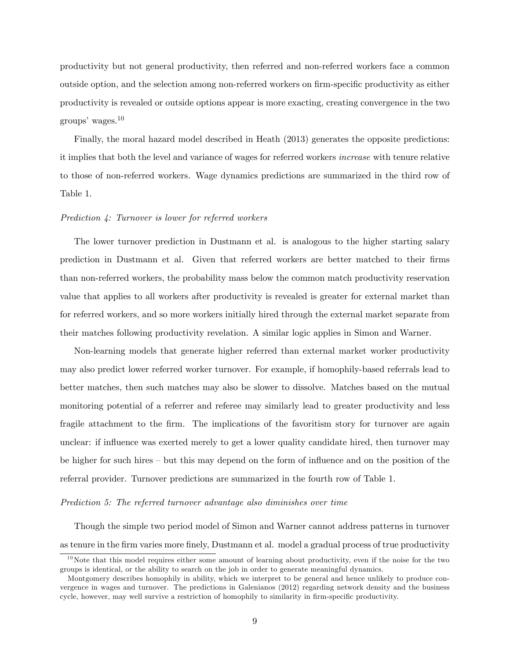productivity but not general productivity, then referred and non-referred workers face a common outside option, and the selection among non-referred workers on firm-specific productivity as either productivity is revealed or outside options appear is more exacting, creating convergence in the two  $g_{\rm{r}0\rm{u}0\rm{s}}'$  wages.<sup>10</sup>

Finally, the moral hazard model described in Heath (2013) generates the opposite predictions: it implies that both the level and variance of wages for referred workers increase with tenure relative to those of non-referred workers. Wage dynamics predictions are summarized in the third row of Table 1.

#### Prediction 4: Turnover is lower for referred workers

The lower turnover prediction in Dustmann et al. is analogous to the higher starting salary prediction in Dustmann et al. Given that referred workers are better matched to their Örms than non-referred workers, the probability mass below the common match productivity reservation value that applies to all workers after productivity is revealed is greater for external market than for referred workers, and so more workers initially hired through the external market separate from their matches following productivity revelation. A similar logic applies in Simon and Warner.

Non-learning models that generate higher referred than external market worker productivity may also predict lower referred worker turnover. For example, if homophily-based referrals lead to better matches, then such matches may also be slower to dissolve. Matches based on the mutual monitoring potential of a referrer and referee may similarly lead to greater productivity and less fragile attachment to the firm. The implications of the favoritism story for turnover are again unclear: if influence was exerted merely to get a lower quality candidate hired, then turnover may be higher for such hires  $-$  but this may depend on the form of influence and on the position of the referral provider. Turnover predictions are summarized in the fourth row of Table 1.

#### Prediction 5: The referred turnover advantage also diminishes over time

Though the simple two period model of Simon and Warner cannot address patterns in turnover as tenure in the firm varies more finely, Dustmann et al. model a gradual process of true productivity

 $10$ Note that this model requires either some amount of learning about productivity, even if the noise for the two groups is identical, or the ability to search on the job in order to generate meaningful dynamics.

Montgomery describes homophily in ability, which we interpret to be general and hence unlikely to produce convergence in wages and turnover. The predictions in Galenianos (2012) regarding network density and the business cycle, however, may well survive a restriction of homophily to similarity in firm-specific productivity.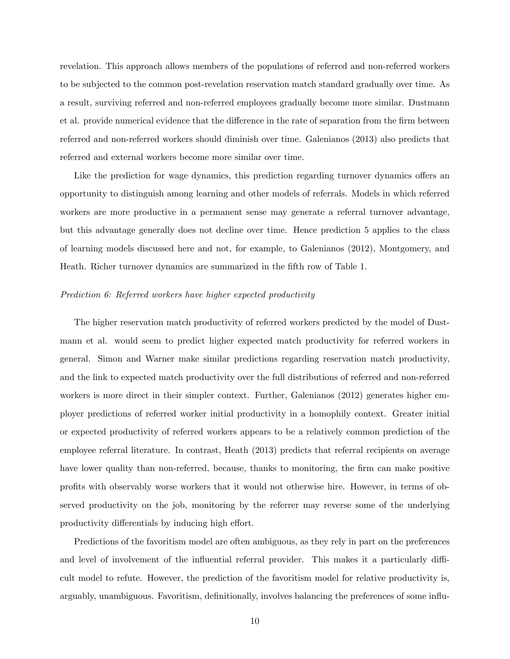revelation. This approach allows members of the populations of referred and non-referred workers to be subjected to the common post-revelation reservation match standard gradually over time. As a result, surviving referred and non-referred employees gradually become more similar. Dustmann et al. provide numerical evidence that the difference in the rate of separation from the firm between referred and non-referred workers should diminish over time. Galenianos (2013) also predicts that referred and external workers become more similar over time.

Like the prediction for wage dynamics, this prediction regarding turnover dynamics offers an opportunity to distinguish among learning and other models of referrals. Models in which referred workers are more productive in a permanent sense may generate a referral turnover advantage, but this advantage generally does not decline over time. Hence prediction 5 applies to the class of learning models discussed here and not, for example, to Galenianos (2012), Montgomery, and Heath. Richer turnover dynamics are summarized in the fifth row of Table 1.

#### Prediction 6: Referred workers have higher expected productivity

The higher reservation match productivity of referred workers predicted by the model of Dustmann et al. would seem to predict higher expected match productivity for referred workers in general. Simon and Warner make similar predictions regarding reservation match productivity, and the link to expected match productivity over the full distributions of referred and non-referred workers is more direct in their simpler context. Further, Galenianos (2012) generates higher employer predictions of referred worker initial productivity in a homophily context. Greater initial or expected productivity of referred workers appears to be a relatively common prediction of the employee referral literature. In contrast, Heath (2013) predicts that referral recipients on average have lower quality than non-referred, because, thanks to monitoring, the firm can make positive profits with observably worse workers that it would not otherwise hire. However, in terms of observed productivity on the job, monitoring by the referrer may reverse some of the underlying productivity differentials by inducing high effort.

Predictions of the favoritism model are often ambiguous, as they rely in part on the preferences and level of involvement of the influential referral provider. This makes it a particularly difficult model to refute. However, the prediction of the favoritism model for relative productivity is, arguably, unambiguous. Favoritism, definitionally, involves balancing the preferences of some influ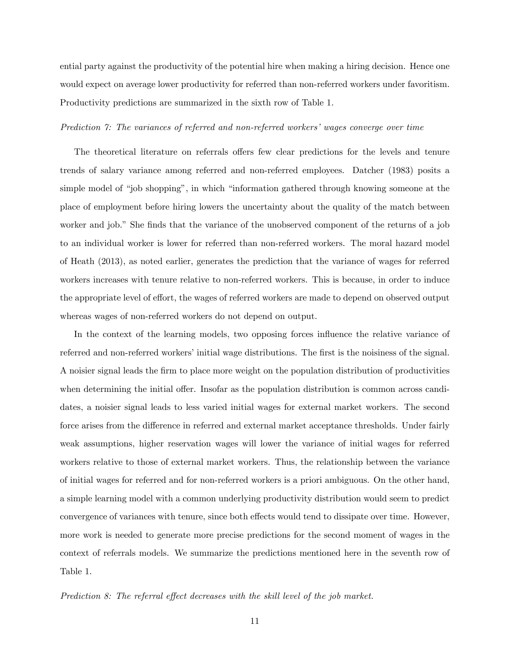ential party against the productivity of the potential hire when making a hiring decision. Hence one would expect on average lower productivity for referred than non-referred workers under favoritism. Productivity predictions are summarized in the sixth row of Table 1.

#### Prediction 7: The variances of referred and non-referred workers' wages converge over time

The theoretical literature on referrals offers few clear predictions for the levels and tenure trends of salary variance among referred and non-referred employees. Datcher (1983) posits a simple model of "job shopping", in which "information gathered through knowing someone at the place of employment before hiring lowers the uncertainty about the quality of the match between worker and job." She finds that the variance of the unobserved component of the returns of a job to an individual worker is lower for referred than non-referred workers. The moral hazard model of Heath (2013), as noted earlier, generates the prediction that the variance of wages for referred workers increases with tenure relative to non-referred workers. This is because, in order to induce the appropriate level of effort, the wages of referred workers are made to depend on observed output whereas wages of non-referred workers do not depend on output.

In the context of the learning models, two opposing forces influence the relative variance of referred and non-referred workers' initial wage distributions. The first is the noisiness of the signal. A noisier signal leads the Örm to place more weight on the population distribution of productivities when determining the initial offer. Insofar as the population distribution is common across candidates, a noisier signal leads to less varied initial wages for external market workers. The second force arises from the difference in referred and external market acceptance thresholds. Under fairly weak assumptions, higher reservation wages will lower the variance of initial wages for referred workers relative to those of external market workers. Thus, the relationship between the variance of initial wages for referred and for non-referred workers is a priori ambiguous. On the other hand, a simple learning model with a common underlying productivity distribution would seem to predict convergence of variances with tenure, since both effects would tend to dissipate over time. However, more work is needed to generate more precise predictions for the second moment of wages in the context of referrals models. We summarize the predictions mentioned here in the seventh row of Table 1.

Prediction 8: The referral effect decreases with the skill level of the job market.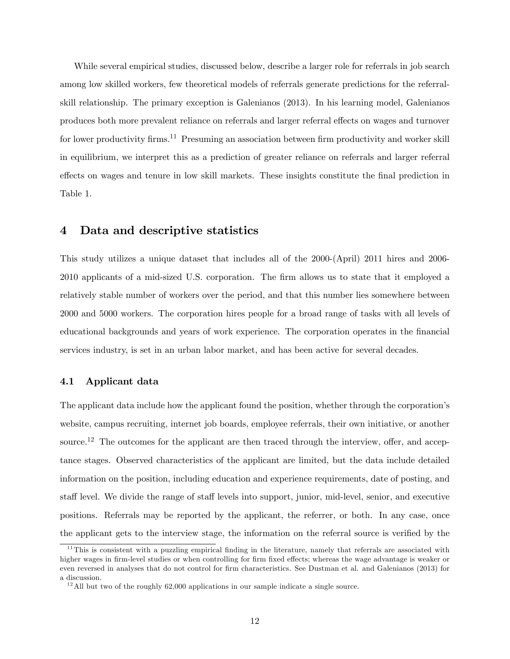While several empirical studies, discussed below, describe a larger role for referrals in job search among low skilled workers, few theoretical models of referrals generate predictions for the referralskill relationship. The primary exception is Galenianos (2013). In his learning model, Galenianos produces both more prevalent reliance on referrals and larger referral effects on wages and turnover for lower productivity firms.<sup>11</sup> Presuming an association between firm productivity and worker skill in equilibrium, we interpret this as a prediction of greater reliance on referrals and larger referral effects on wages and tenure in low skill markets. These insights constitute the final prediction in Table 1.

### 4 Data and descriptive statistics

This study utilizes a unique dataset that includes all of the 2000-(April) 2011 hires and 2006- 2010 applicants of a mid-sized U.S. corporation. The Örm allows us to state that it employed a relatively stable number of workers over the period, and that this number lies somewhere between 2000 and 5000 workers. The corporation hires people for a broad range of tasks with all levels of educational backgrounds and years of work experience. The corporation operates in the financial services industry, is set in an urban labor market, and has been active for several decades.

#### 4.1 Applicant data

The applicant data include how the applicant found the position, whether through the corporation's website, campus recruiting, internet job boards, employee referrals, their own initiative, or another source.<sup>12</sup> The outcomes for the applicant are then traced through the interview, offer, and acceptance stages. Observed characteristics of the applicant are limited, but the data include detailed information on the position, including education and experience requirements, date of posting, and staff level. We divide the range of staff levels into support, junior, mid-level, senior, and executive positions. Referrals may be reported by the applicant, the referrer, or both. In any case, once the applicant gets to the interview stage, the information on the referral source is verified by the

 $11$ This is consistent with a puzzling empirical finding in the literature, namely that referrals are associated with higher wages in firm-level studies or when controlling for firm fixed effects; whereas the wage advantage is weaker or even reversed in analyses that do not control for firm characteristics. See Dustman et al. and Galenianos (2013) for a discussion.

 $12$ All but two of the roughly 62,000 applications in our sample indicate a single source.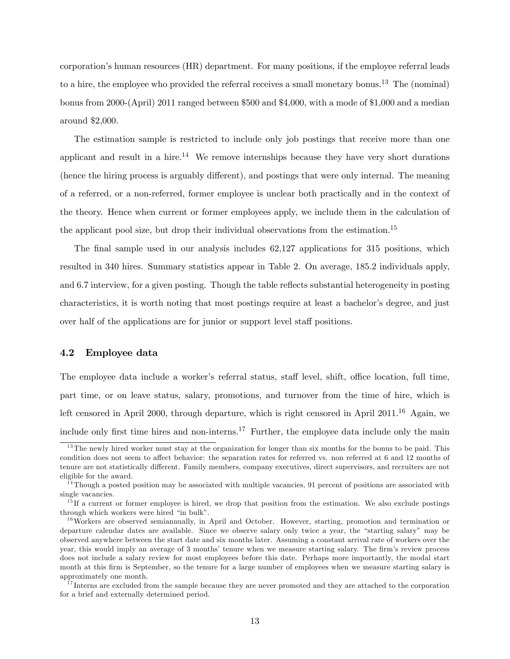corporation's human resources (HR) department. For many positions, if the employee referral leads to a hire, the employee who provided the referral receives a small monetary bonus.<sup>13</sup> The (nominal) bonus from 2000-(April) 2011 ranged between \$500 and \$4,000, with a mode of \$1,000 and a median around \$2,000.

The estimation sample is restricted to include only job postings that receive more than one applicant and result in a hire.<sup>14</sup> We remove internships because they have very short durations (hence the hiring process is arguably different), and postings that were only internal. The meaning of a referred, or a non-referred, former employee is unclear both practically and in the context of the theory. Hence when current or former employees apply, we include them in the calculation of the applicant pool size, but drop their individual observations from the estimation.<sup>15</sup>

The final sample used in our analysis includes 62,127 applications for 315 positions, which resulted in 340 hires. Summary statistics appear in Table 2. On average, 185.2 individuals apply, and 6.7 interview, for a given posting. Though the table reflects substantial heterogeneity in posting characteristics, it is worth noting that most postings require at least a bachelor's degree, and just over half of the applications are for junior or support level staff positions.

#### 4.2 Employee data

The employee data include a worker's referral status, staff level, shift, office location, full time, part time, or on leave status, salary, promotions, and turnover from the time of hire, which is left censored in April 2000, through departure, which is right censored in April 2011.<sup>16</sup> Again, we include only first time hires and non-interns.<sup>17</sup> Further, the employee data include only the main

<sup>&</sup>lt;sup>13</sup>The newly hired worker must stay at the organization for longer than six months for the bonus to be paid. This condition does not seem to affect behavior: the separation rates for referred vs. non referred at 6 and 12 months of tenure are not statistically different. Family members, company executives, direct supervisors, and recruiters are not eligible for the award.

 $14$ Though a posted position may be associated with multiple vacancies, 91 percent of positions are associated with single vacancies.

 $15$  If a current or former employee is hired, we drop that position from the estimation. We also exclude postings through which workers were hired "in bulk".

<sup>&</sup>lt;sup>16</sup>Workers are observed semiannually, in April and October. However, starting, promotion and termination or departure calendar dates are available. Since we observe salary only twice a year, the "starting salary" may be observed anywhere between the start date and six months later. Assuming a constant arrival rate of workers over the year, this would imply an average of 3 months' tenure when we measure starting salary. The firm's review process does not include a salary review for most employees before this date. Perhaps more importantly, the modal start month at this firm is September, so the tenure for a large number of employees when we measure starting salary is approximately one month.

<sup>&</sup>lt;sup>17</sup> Interns are excluded from the sample because they are never promoted and they are attached to the corporation for a brief and externally determined period.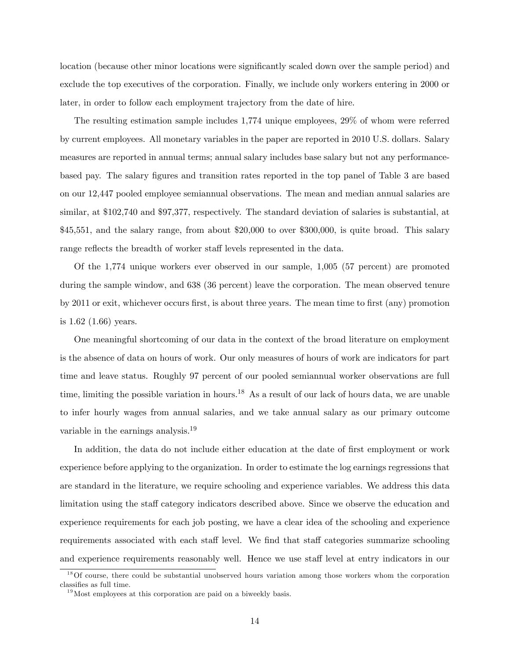location (because other minor locations were significantly scaled down over the sample period) and exclude the top executives of the corporation. Finally, we include only workers entering in 2000 or later, in order to follow each employment trajectory from the date of hire.

The resulting estimation sample includes 1,774 unique employees, 29% of whom were referred by current employees. All monetary variables in the paper are reported in 2010 U.S. dollars. Salary measures are reported in annual terms; annual salary includes base salary but not any performancebased pay. The salary Ögures and transition rates reported in the top panel of Table 3 are based on our 12,447 pooled employee semiannual observations. The mean and median annual salaries are similar, at \$102,740 and \$97,377, respectively. The standard deviation of salaries is substantial, at \$45,551, and the salary range, from about \$20,000 to over \$300,000, is quite broad. This salary range reflects the breadth of worker staff levels represented in the data.

Of the 1,774 unique workers ever observed in our sample, 1,005 (57 percent) are promoted during the sample window, and 638 (36 percent) leave the corporation. The mean observed tenure by 2011 or exit, whichever occurs first, is about three years. The mean time to first (any) promotion is 1.62 (1.66) years.

One meaningful shortcoming of our data in the context of the broad literature on employment is the absence of data on hours of work. Our only measures of hours of work are indicators for part time and leave status. Roughly 97 percent of our pooled semiannual worker observations are full time, limiting the possible variation in hours.<sup>18</sup> As a result of our lack of hours data, we are unable to infer hourly wages from annual salaries, and we take annual salary as our primary outcome variable in the earnings analysis.<sup>19</sup>

In addition, the data do not include either education at the date of first employment or work experience before applying to the organization. In order to estimate the log earnings regressions that are standard in the literature, we require schooling and experience variables. We address this data limitation using the staff category indicators described above. Since we observe the education and experience requirements for each job posting, we have a clear idea of the schooling and experience requirements associated with each staff level. We find that staff categories summarize schooling and experience requirements reasonably well. Hence we use staff level at entry indicators in our

<sup>&</sup>lt;sup>18</sup>Of course, there could be substantial unobserved hours variation among those workers whom the corporation classifies as full time.

 $19$ Most employees at this corporation are paid on a biweekly basis.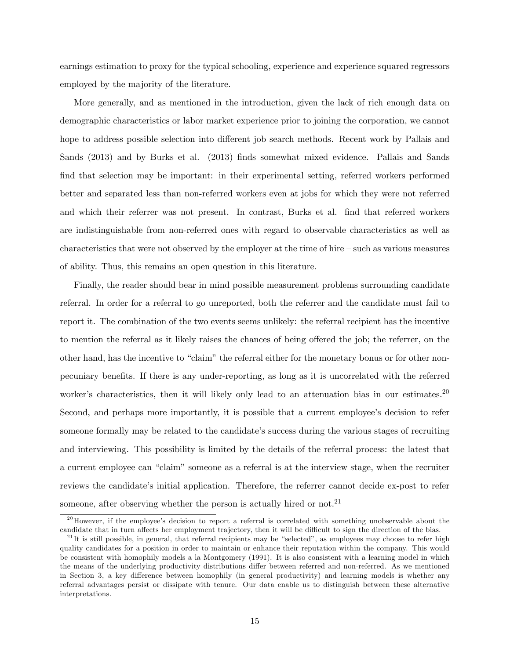earnings estimation to proxy for the typical schooling, experience and experience squared regressors employed by the majority of the literature.

More generally, and as mentioned in the introduction, given the lack of rich enough data on demographic characteristics or labor market experience prior to joining the corporation, we cannot hope to address possible selection into different job search methods. Recent work by Pallais and Sands (2013) and by Burks et al. (2013) finds somewhat mixed evidence. Pallais and Sands find that selection may be important: in their experimental setting, referred workers performed better and separated less than non-referred workers even at jobs for which they were not referred and which their referrer was not present. In contrast, Burks et al. find that referred workers are indistinguishable from non-referred ones with regard to observable characteristics as well as characteristics that were not observed by the employer at the time of hire  $-$  such as various measures of ability. Thus, this remains an open question in this literature.

Finally, the reader should bear in mind possible measurement problems surrounding candidate referral. In order for a referral to go unreported, both the referrer and the candidate must fail to report it. The combination of the two events seems unlikely: the referral recipient has the incentive to mention the referral as it likely raises the chances of being offered the job; the referrer, on the other hand, has the incentive to "claim" the referral either for the monetary bonus or for other nonpecuniary benefits. If there is any under-reporting, as long as it is uncorrelated with the referred worker's characteristics, then it will likely only lead to an attenuation bias in our estimates.<sup>20</sup> Second, and perhaps more importantly, it is possible that a current employee's decision to refer someone formally may be related to the candidate's success during the various stages of recruiting and interviewing. This possibility is limited by the details of the referral process: the latest that a current employee can "claim" someone as a referral is at the interview stage, when the recruiter reviews the candidate's initial application. Therefore, the referrer cannot decide ex-post to refer someone, after observing whether the person is actually hired or not.<sup>21</sup>

<sup>&</sup>lt;sup>20</sup>However, if the employee's decision to report a referral is correlated with something unobservable about the candidate that in turn affects her employment trajectory, then it will be difficult to sign the direction of the bias.

 $^{21}$ It is still possible, in general, that referral recipients may be "selected", as employees may choose to refer high quality candidates for a position in order to maintain or enhance their reputation within the company. This would be consistent with homophily models a la Montgomery (1991). It is also consistent with a learning model in which the means of the underlying productivity distributions differ between referred and non-referred. As we mentioned in Section 3, a key difference between homophily (in general productivity) and learning models is whether any referral advantages persist or dissipate with tenure. Our data enable us to distinguish between these alternative interpretations.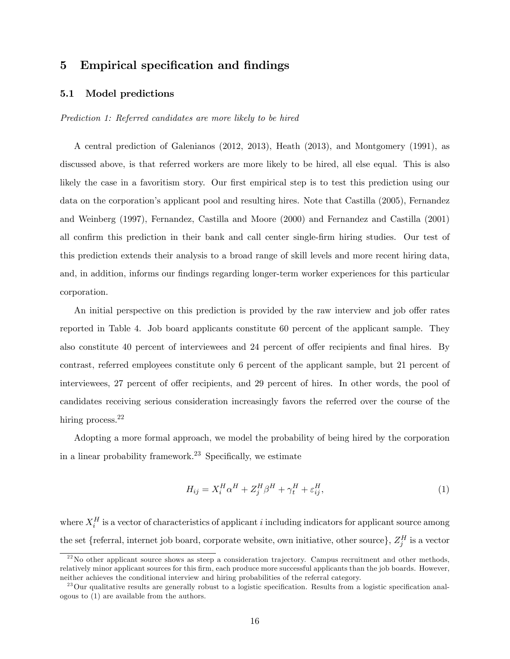## 5 Empirical specification and findings

#### 5.1 Model predictions

Prediction 1: Referred candidates are more likely to be hired

A central prediction of Galenianos (2012, 2013), Heath (2013), and Montgomery (1991), as discussed above, is that referred workers are more likely to be hired, all else equal. This is also likely the case in a favoritism story. Our first empirical step is to test this prediction using our data on the corporation's applicant pool and resulting hires. Note that Castilla (2005), Fernandez and Weinberg (1997), Fernandez, Castilla and Moore (2000) and Fernandez and Castilla (2001) all confirm this prediction in their bank and call center single-firm hiring studies. Our test of this prediction extends their analysis to a broad range of skill levels and more recent hiring data, and, in addition, informs our findings regarding longer-term worker experiences for this particular corporation.

An initial perspective on this prediction is provided by the raw interview and job offer rates reported in Table 4. Job board applicants constitute 60 percent of the applicant sample. They also constitute 40 percent of interviewees and 24 percent of offer recipients and final hires. By contrast, referred employees constitute only 6 percent of the applicant sample, but 21 percent of interviewees, 27 percent of offer recipients, and 29 percent of hires. In other words, the pool of candidates receiving serious consideration increasingly favors the referred over the course of the hiring process.<sup>22</sup>

Adopting a more formal approach, we model the probability of being hired by the corporation in a linear probability framework.<sup>23</sup> Specifically, we estimate

$$
H_{ij} = X_i^H \alpha^H + Z_j^H \beta^H + \gamma_t^H + \varepsilon_{ij}^H, \tag{1}
$$

where  $X_i^H$  is a vector of characteristics of applicant i including indicators for applicant source among the set {referral, internet job board, corporate website, own initiative, other source},  $Z_j^H$  is a vector

 $^{22}$ No other applicant source shows as steep a consideration trajectory. Campus recruitment and other methods, relatively minor applicant sources for this firm, each produce more successful applicants than the job boards. However, neither achieves the conditional interview and hiring probabilities of the referral category.

 $^{23}$ Our qualitative results are generally robust to a logistic specification. Results from a logistic specification analogous to (1) are available from the authors.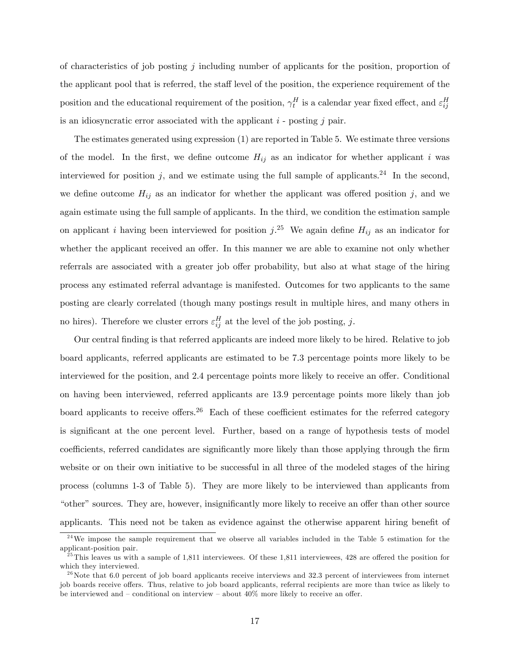of characteristics of job posting  $j$  including number of applicants for the position, proportion of the applicant pool that is referred, the staff level of the position, the experience requirement of the position and the educational requirement of the position,  $\gamma_t^H$  is a calendar year fixed effect, and  $\varepsilon_{ij}^H$ is an idiosyncratic error associated with the applicant  $i$  - posting  $j$  pair.

The estimates generated using expression (1) are reported in Table 5. We estimate three versions of the model. In the first, we define outcome  $H_{ij}$  as an indicator for whether applicant i was interviewed for position j, and we estimate using the full sample of applicants.<sup>24</sup> In the second, we define outcome  $H_{ij}$  as an indicator for whether the applicant was offered position j, and we again estimate using the full sample of applicants. In the third, we condition the estimation sample on applicant i having been interviewed for position  $j^{25}$  We again define  $H_{ij}$  as an indicator for whether the applicant received an offer. In this manner we are able to examine not only whether referrals are associated with a greater job offer probability, but also at what stage of the hiring process any estimated referral advantage is manifested. Outcomes for two applicants to the same posting are clearly correlated (though many postings result in multiple hires, and many others in no hires). Therefore we cluster errors  $\varepsilon_{ij}^H$  at the level of the job posting, j.

Our central Önding is that referred applicants are indeed more likely to be hired. Relative to job board applicants, referred applicants are estimated to be 7.3 percentage points more likely to be interviewed for the position, and 2.4 percentage points more likely to receive an offer. Conditional on having been interviewed, referred applicants are 13.9 percentage points more likely than job board applicants to receive offers.<sup>26</sup> Each of these coefficient estimates for the referred category is significant at the one percent level. Further, based on a range of hypothesis tests of model coefficients, referred candidates are significantly more likely than those applying through the firm website or on their own initiative to be successful in all three of the modeled stages of the hiring process (columns 1-3 of Table 5). They are more likely to be interviewed than applicants from "other" sources. They are, however, insignificantly more likely to receive an offer than other source applicants. This need not be taken as evidence against the otherwise apparent hiring benefit of

<sup>&</sup>lt;sup>24</sup>We impose the sample requirement that we observe all variables included in the Table 5 estimation for the applicant-position pair.

 $^{25}$ This leaves us with a sample of 1,811 interviewees. Of these 1,811 interviewees, 428 are offered the position for which they interviewed.

 $^{26}$ Note that 6.0 percent of job board applicants receive interviews and 32.3 percent of interviewees from internet job boards receive offers. Thus, relative to job board applicants, referral recipients are more than twice as likely to be interviewed and  $\sim$  conditional on interview  $\sim$  about 40% more likely to receive an offer.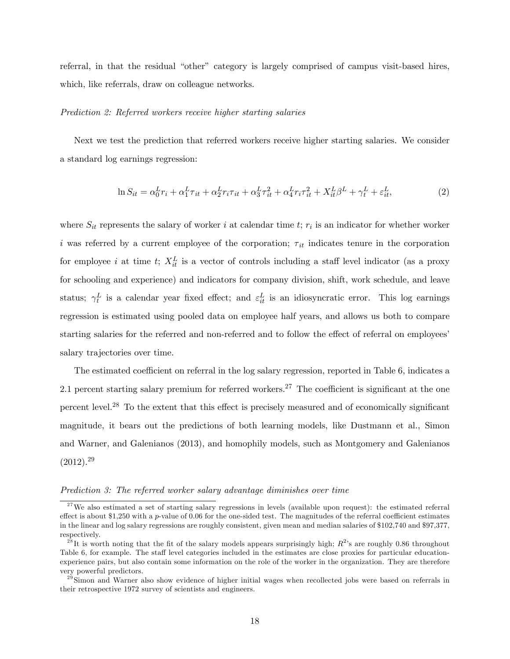referral, in that the residual "other" category is largely comprised of campus visit-based hires, which, like referrals, draw on colleague networks.

#### Prediction 2: Referred workers receive higher starting salaries

Next we test the prediction that referred workers receive higher starting salaries. We consider a standard log earnings regression:

$$
\ln S_{it} = \alpha_0^L r_i + \alpha_1^L \tau_{it} + \alpha_2^L r_i \tau_{it} + \alpha_3^L \tau_{it}^2 + \alpha_4^L r_i \tau_{it}^2 + X_{it}^L \beta^L + \gamma_t^L + \varepsilon_{it}^L,\tag{2}
$$

where  $S_{it}$  represents the salary of worker i at calendar time t;  $r_i$  is an indicator for whether worker i was referred by a current employee of the corporation;  $\tau_{it}$  indicates tenure in the corporation for employee i at time t;  $X_{it}^L$  is a vector of controls including a staff level indicator (as a proxy for schooling and experience) and indicators for company division, shift, work schedule, and leave status;  $\gamma_t^L$  is a calendar year fixed effect; and  $\varepsilon_{it}^L$  is an idiosyncratic error. This log earnings regression is estimated using pooled data on employee half years, and allows us both to compare starting salaries for the referred and non-referred and to follow the effect of referral on employees' salary trajectories over time.

The estimated coefficient on referral in the log salary regression, reported in Table 6, indicates a 2.1 percent starting salary premium for referred workers.<sup>27</sup> The coefficient is significant at the one percent level.<sup>28</sup> To the extent that this effect is precisely measured and of economically significant magnitude, it bears out the predictions of both learning models, like Dustmann et al., Simon and Warner, and Galenianos (2013), and homophily models, such as Montgomery and Galenianos  $(2012).^{29}$ 

Prediction 3: The referred worker salary advantage diminishes over time

 $27$ We also estimated a set of starting salary regressions in levels (available upon request): the estimated referral effect is about \$1,250 with a p-value of 0.06 for the one-sided test. The magnitudes of the referral coefficient estimates in the linear and log salary regressions are roughly consistent, given mean and median salaries of \$102,740 and \$97,377, respectively.

<sup>&</sup>lt;sup>28</sup>It is worth noting that the fit of the salary models appears surprisingly high;  $R^2$ 's are roughly 0.86 throughout Table 6, for example. The staff level categories included in the estimates are close proxies for particular educationexperience pairs, but also contain some information on the role of the worker in the organization. They are therefore very powerful predictors.

<sup>&</sup>lt;sup>29</sup>Simon and Warner also show evidence of higher initial wages when recollected jobs were based on referrals in their retrospective 1972 survey of scientists and engineers.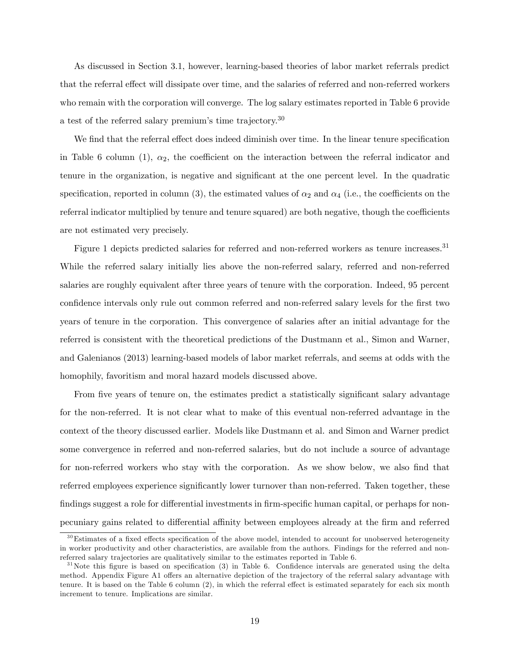As discussed in Section 3.1, however, learning-based theories of labor market referrals predict that the referral effect will dissipate over time, and the salaries of referred and non-referred workers who remain with the corporation will converge. The log salary estimates reported in Table 6 provide a test of the referred salary premium's time trajectory.<sup>30</sup>

We find that the referral effect does indeed diminish over time. In the linear tenure specification in Table 6 column (1),  $\alpha_2$ , the coefficient on the interaction between the referral indicator and tenure in the organization, is negative and significant at the one percent level. In the quadratic specification, reported in column (3), the estimated values of  $\alpha_2$  and  $\alpha_4$  (i.e., the coefficients on the referral indicator multiplied by tenure and tenure squared) are both negative, though the coefficients are not estimated very precisely.

Figure 1 depicts predicted salaries for referred and non-referred workers as tenure increases.<sup>31</sup> While the referred salary initially lies above the non-referred salary, referred and non-referred salaries are roughly equivalent after three years of tenure with the corporation. Indeed, 95 percent confidence intervals only rule out common referred and non-referred salary levels for the first two years of tenure in the corporation. This convergence of salaries after an initial advantage for the referred is consistent with the theoretical predictions of the Dustmann et al., Simon and Warner, and Galenianos (2013) learning-based models of labor market referrals, and seems at odds with the homophily, favoritism and moral hazard models discussed above.

From five years of tenure on, the estimates predict a statistically significant salary advantage for the non-referred. It is not clear what to make of this eventual non-referred advantage in the context of the theory discussed earlier. Models like Dustmann et al. and Simon and Warner predict some convergence in referred and non-referred salaries, but do not include a source of advantage for non-referred workers who stay with the corporation. As we show below, we also find that referred employees experience significantly lower turnover than non-referred. Taken together, these findings suggest a role for differential investments in firm-specific human capital, or perhaps for nonpecuniary gains related to differential affinity between employees already at the firm and referred

 $30$ Estimates of a fixed effects specification of the above model, intended to account for unobserved heterogeneity in worker productivity and other characteristics, are available from the authors. Findings for the referred and nonreferred salary trajectories are qualitatively similar to the estimates reported in Table 6.

 $31$ Note this figure is based on specification (3) in Table 6. Confidence intervals are generated using the delta method. Appendix Figure A1 offers an alternative depiction of the trajectory of the referral salary advantage with tenure. It is based on the Table  $6$  column  $(2)$ , in which the referral effect is estimated separately for each six month increment to tenure. Implications are similar.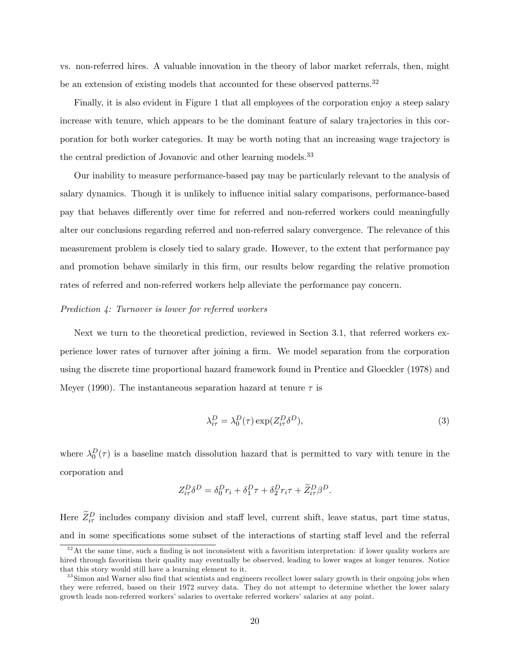vs. non-referred hires. A valuable innovation in the theory of labor market referrals, then, might be an extension of existing models that accounted for these observed patterns.<sup>32</sup>

Finally, it is also evident in Figure 1 that all employees of the corporation enjoy a steep salary increase with tenure, which appears to be the dominant feature of salary trajectories in this corporation for both worker categories. It may be worth noting that an increasing wage trajectory is the central prediction of Jovanovic and other learning models.<sup>33</sup>

Our inability to measure performance-based pay may be particularly relevant to the analysis of salary dynamics. Though it is unlikely to influence initial salary comparisons, performance-based pay that behaves differently over time for referred and non-referred workers could meaningfully alter our conclusions regarding referred and non-referred salary convergence. The relevance of this measurement problem is closely tied to salary grade. However, to the extent that performance pay and promotion behave similarly in this firm, our results below regarding the relative promotion rates of referred and non-referred workers help alleviate the performance pay concern.

#### Prediction 4: Turnover is lower for referred workers

Next we turn to the theoretical prediction, reviewed in Section 3.1, that referred workers experience lower rates of turnover after joining a firm. We model separation from the corporation using the discrete time proportional hazard framework found in Prentice and Gloeckler (1978) and Meyer (1990). The instantaneous separation hazard at tenure  $\tau$  is

$$
\lambda_{i\tau}^D = \lambda_0^D(\tau) \exp(Z_{i\tau}^D \delta^D),\tag{3}
$$

where  $\lambda_0^D(\tau)$  is a baseline match dissolution hazard that is permitted to vary with tenure in the corporation and

$$
Z_{i\tau}^D \delta^D = \delta_0^D r_i + \delta_1^D \tau + \delta_2^D r_i \tau + \widetilde{Z}_{i\tau}^D \beta^D.
$$

Here  $\tilde{Z}_{i\tau}^D$  includes company division and staff level, current shift, leave status, part time status, and in some specifications some subset of the interactions of starting staff level and the referral

 $32$ At the same time, such a finding is not inconsistent with a favoritism interpretation: if lower quality workers are hired through favoritism their quality may eventually be observed, leading to lower wages at longer tenures. Notice that this story would still have a learning element to it.

<sup>&</sup>lt;sup>33</sup>Simon and Warner also find that scientists and engineers recollect lower salary growth in their ongoing jobs when they were referred, based on their 1972 survey data. They do not attempt to determine whether the lower salary growth leads non-referred workers' salaries to overtake referred workers' salaries at any point.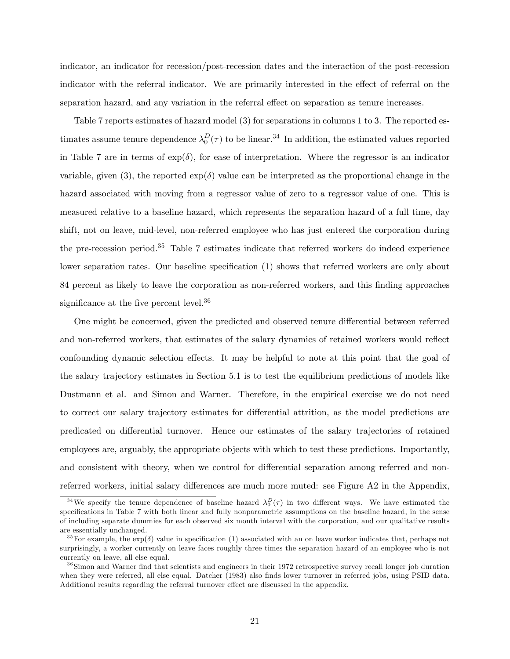indicator, an indicator for recession/post-recession dates and the interaction of the post-recession indicator with the referral indicator. We are primarily interested in the effect of referral on the separation hazard, and any variation in the referral effect on separation as tenure increases.

Table 7 reports estimates of hazard model (3) for separations in columns 1 to 3. The reported estimates assume tenure dependence  $\lambda_0^D(\tau)$  to be linear.<sup>34</sup> In addition, the estimated values reported in Table 7 are in terms of  $\exp(\delta)$ , for ease of interpretation. Where the regressor is an indicator variable, given (3), the reported  $\exp(\delta)$  value can be interpreted as the proportional change in the hazard associated with moving from a regressor value of zero to a regressor value of one. This is measured relative to a baseline hazard, which represents the separation hazard of a full time, day shift, not on leave, mid-level, non-referred employee who has just entered the corporation during the pre-recession period.<sup>35</sup> Table 7 estimates indicate that referred workers do indeed experience lower separation rates. Our baseline specification (1) shows that referred workers are only about 84 percent as likely to leave the corporation as non-referred workers, and this finding approaches significance at the five percent level.  $36$ 

One might be concerned, given the predicted and observed tenure differential between referred and non-referred workers, that estimates of the salary dynamics of retained workers would reflect confounding dynamic selection effects. It may be helpful to note at this point that the goal of the salary trajectory estimates in Section 5.1 is to test the equilibrium predictions of models like Dustmann et al. and Simon and Warner. Therefore, in the empirical exercise we do not need to correct our salary trajectory estimates for differential attrition, as the model predictions are predicated on differential turnover. Hence our estimates of the salary trajectories of retained employees are, arguably, the appropriate objects with which to test these predictions. Importantly, and consistent with theory, when we control for differential separation among referred and nonreferred workers, initial salary differences are much more muted: see Figure A2 in the Appendix,

<sup>&</sup>lt;sup>34</sup>We specify the tenure dependence of baseline hazard  $\lambda_0^D(\tau)$  in two different ways. We have estimated the specifications in Table 7 with both linear and fully nonparametric assumptions on the baseline hazard, in the sense of including separate dummies for each observed six month interval with the corporation, and our qualitative results are essentially unchanged.

<sup>&</sup>lt;sup>35</sup>For example, the  $exp(\delta)$  value in specification (1) associated with an on leave worker indicates that, perhaps not surprisingly, a worker currently on leave faces roughly three times the separation hazard of an employee who is not currently on leave, all else equal.

 $36$ Simon and Warner find that scientists and engineers in their 1972 retrospective survey recall longer job duration when they were referred, all else equal. Datcher (1983) also finds lower turnover in referred jobs, using PSID data. Additional results regarding the referral turnover effect are discussed in the appendix.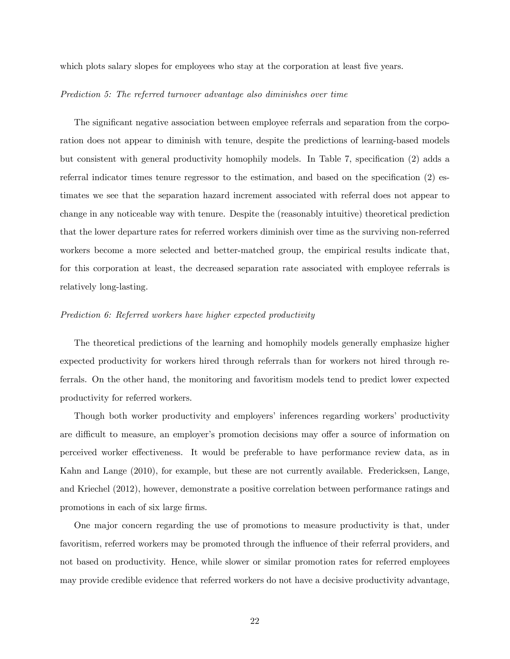which plots salary slopes for employees who stay at the corporation at least five years.

#### Prediction 5: The referred turnover advantage also diminishes over time

The significant negative association between employee referrals and separation from the corporation does not appear to diminish with tenure, despite the predictions of learning-based models but consistent with general productivity homophily models. In Table 7, specification (2) adds a referral indicator times tenure regressor to the estimation, and based on the specification  $(2)$  estimates we see that the separation hazard increment associated with referral does not appear to change in any noticeable way with tenure. Despite the (reasonably intuitive) theoretical prediction that the lower departure rates for referred workers diminish over time as the surviving non-referred workers become a more selected and better-matched group, the empirical results indicate that, for this corporation at least, the decreased separation rate associated with employee referrals is relatively long-lasting.

#### Prediction 6: Referred workers have higher expected productivity

The theoretical predictions of the learning and homophily models generally emphasize higher expected productivity for workers hired through referrals than for workers not hired through referrals. On the other hand, the monitoring and favoritism models tend to predict lower expected productivity for referred workers.

Though both worker productivity and employers' inferences regarding workers' productivity are difficult to measure, an employer's promotion decisions may offer a source of information on perceived worker effectiveness. It would be preferable to have performance review data, as in Kahn and Lange (2010), for example, but these are not currently available. Fredericksen, Lange, and Kriechel (2012), however, demonstrate a positive correlation between performance ratings and promotions in each of six large firms.

One major concern regarding the use of promotions to measure productivity is that, under favoritism, referred workers may be promoted through the influence of their referral providers, and not based on productivity. Hence, while slower or similar promotion rates for referred employees may provide credible evidence that referred workers do not have a decisive productivity advantage,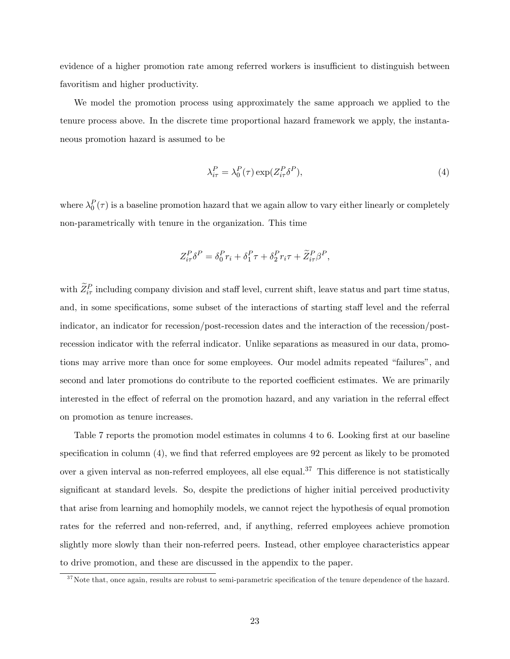evidence of a higher promotion rate among referred workers is insufficient to distinguish between favoritism and higher productivity.

We model the promotion process using approximately the same approach we applied to the tenure process above. In the discrete time proportional hazard framework we apply, the instantaneous promotion hazard is assumed to be

$$
\lambda_{i\tau}^{P} = \lambda_0^{P}(\tau) \exp(Z_{i\tau}^{P} \delta^{P}), \tag{4}
$$

where  $\lambda_0^P(\tau)$  is a baseline promotion hazard that we again allow to vary either linearly or completely non-parametrically with tenure in the organization. This time

$$
Z_{i\tau}^P\delta^P=\delta_0^P r_i+\delta_1^P\tau+\delta_2^P r_i\tau+\widetilde{Z}_{i\tau}^P\beta^P,
$$

with  $\tilde{Z}_{i\tau}^P$  including company division and staff level, current shift, leave status and part time status, and, in some specifications, some subset of the interactions of starting staff level and the referral indicator, an indicator for recession/post-recession dates and the interaction of the recession/postrecession indicator with the referral indicator. Unlike separations as measured in our data, promotions may arrive more than once for some employees. Our model admits repeated "failures", and second and later promotions do contribute to the reported coefficient estimates. We are primarily interested in the effect of referral on the promotion hazard, and any variation in the referral effect on promotion as tenure increases.

Table 7 reports the promotion model estimates in columns 4 to 6. Looking first at our baseline specification in column  $(4)$ , we find that referred employees are 92 percent as likely to be promoted over a given interval as non-referred employees, all else equal.<sup>37</sup> This difference is not statistically significant at standard levels. So, despite the predictions of higher initial perceived productivity that arise from learning and homophily models, we cannot reject the hypothesis of equal promotion rates for the referred and non-referred, and, if anything, referred employees achieve promotion slightly more slowly than their non-referred peers. Instead, other employee characteristics appear to drive promotion, and these are discussed in the appendix to the paper.

 $37$ Note that, once again, results are robust to semi-parametric specification of the tenure dependence of the hazard.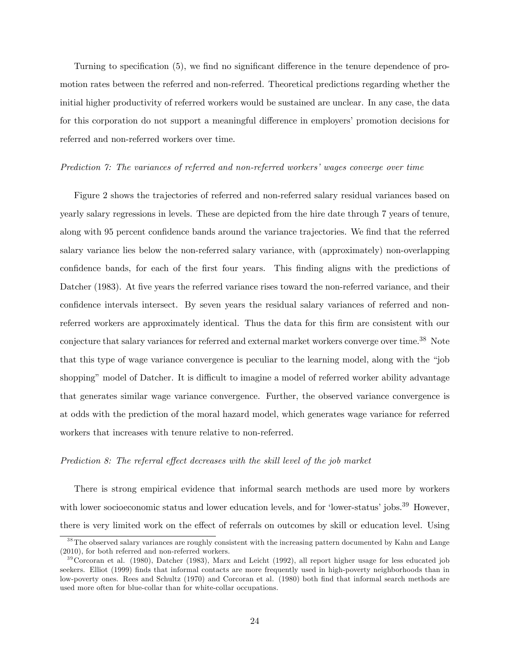Turning to specification (5), we find no significant difference in the tenure dependence of promotion rates between the referred and non-referred. Theoretical predictions regarding whether the initial higher productivity of referred workers would be sustained are unclear. In any case, the data for this corporation do not support a meaningful difference in employers' promotion decisions for referred and non-referred workers over time.

#### Prediction  $\gamma$ : The variances of referred and non-referred workers' wages converge over time

Figure 2 shows the trajectories of referred and non-referred salary residual variances based on yearly salary regressions in levels. These are depicted from the hire date through 7 years of tenure, along with 95 percent confidence bands around the variance trajectories. We find that the referred salary variance lies below the non-referred salary variance, with (approximately) non-overlapping confidence bands, for each of the first four years. This finding aligns with the predictions of Datcher (1983). At five years the referred variance rises toward the non-referred variance, and their confidence intervals intersect. By seven years the residual salary variances of referred and nonreferred workers are approximately identical. Thus the data for this firm are consistent with our conjecture that salary variances for referred and external market workers converge over time.<sup>38</sup> Note that this type of wage variance convergence is peculiar to the learning model, along with the "job" shopping" model of Datcher. It is difficult to imagine a model of referred worker ability advantage that generates similar wage variance convergence. Further, the observed variance convergence is at odds with the prediction of the moral hazard model, which generates wage variance for referred workers that increases with tenure relative to non-referred.

#### Prediction 8: The referral effect decreases with the skill level of the job market

There is strong empirical evidence that informal search methods are used more by workers with lower socioeconomic status and lower education levels, and for 'lower-status' jobs.<sup>39</sup> However, there is very limited work on the effect of referrals on outcomes by skill or education level. Using

<sup>&</sup>lt;sup>38</sup>The observed salary variances are roughly consistent with the increasing pattern documented by Kahn and Lange (2010), for both referred and non-referred workers.

 $39$ Corcoran et al. (1980), Datcher (1983), Marx and Leicht (1992), all report higher usage for less educated job seekers. Elliot (1999) finds that informal contacts are more frequently used in high-poverty neighborhoods than in low-poverty ones. Rees and Schultz (1970) and Corcoran et al. (1980) both find that informal search methods are used more often for blue-collar than for white-collar occupations.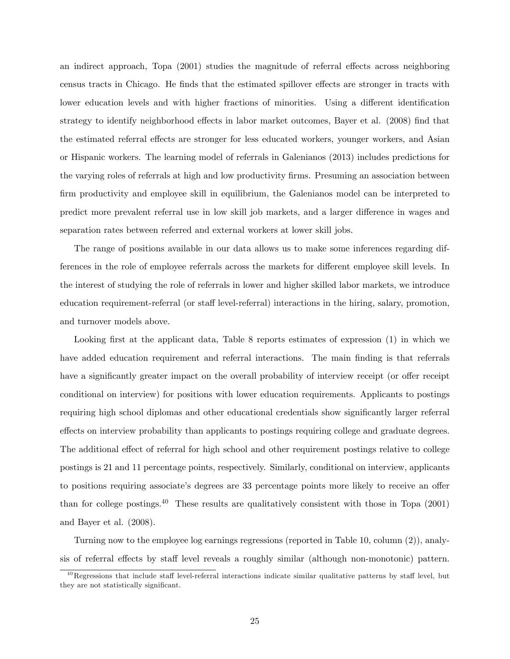an indirect approach, Topa  $(2001)$  studies the magnitude of referral effects across neighboring census tracts in Chicago. He finds that the estimated spillover effects are stronger in tracts with lower education levels and with higher fractions of minorities. Using a different identification strategy to identify neighborhood effects in labor market outcomes, Bayer et al. (2008) find that the estimated referral effects are stronger for less educated workers, younger workers, and Asian or Hispanic workers. The learning model of referrals in Galenianos (2013) includes predictions for the varying roles of referrals at high and low productivity firms. Presuming an association between firm productivity and employee skill in equilibrium, the Galenianos model can be interpreted to predict more prevalent referral use in low skill job markets, and a larger difference in wages and separation rates between referred and external workers at lower skill jobs.

The range of positions available in our data allows us to make some inferences regarding differences in the role of employee referrals across the markets for different employee skill levels. In the interest of studying the role of referrals in lower and higher skilled labor markets, we introduce education requirement-referral (or staff level-referral) interactions in the hiring, salary, promotion, and turnover models above.

Looking first at the applicant data, Table 8 reports estimates of expression  $(1)$  in which we have added education requirement and referral interactions. The main finding is that referrals have a significantly greater impact on the overall probability of interview receipt (or offer receipt conditional on interview) for positions with lower education requirements. Applicants to postings requiring high school diplomas and other educational credentials show significantly larger referral effects on interview probability than applicants to postings requiring college and graduate degrees. The additional effect of referral for high school and other requirement postings relative to college postings is 21 and 11 percentage points, respectively. Similarly, conditional on interview, applicants to positions requiring associate's degrees are 33 percentage points more likely to receive an offer than for college postings.<sup>40</sup> These results are qualitatively consistent with those in Topa (2001) and Bayer et al. (2008).

Turning now to the employee log earnings regressions (reported in Table 10, column (2)), analysis of referral effects by staff level reveals a roughly similar (although non-monotonic) pattern.

 $^{40}$ Regressions that include staff level-referral interactions indicate similar qualitative patterns by staff level, but they are not statistically significant.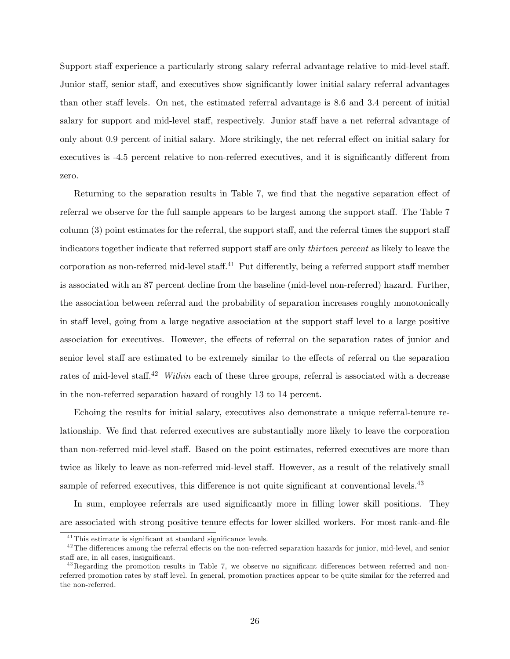Support staff experience a particularly strong salary referral advantage relative to mid-level staff. Junior staff, senior staff, and executives show significantly lower initial salary referral advantages than other staff levels. On net, the estimated referral advantage is 8.6 and 3.4 percent of initial salary for support and mid-level staff, respectively. Junior staff have a net referral advantage of only about 0.9 percent of initial salary. More strikingly, the net referral effect on initial salary for executives is -4.5 percent relative to non-referred executives, and it is significantly different from zero.

Returning to the separation results in Table 7, we find that the negative separation effect of referral we observe for the full sample appears to be largest among the support staff. The Table 7 column  $(3)$  point estimates for the referral, the support staff, and the referral times the support staff indicators together indicate that referred support staff are only *thirteen percent* as likely to leave the corporation as non-referred mid-level staff.<sup>41</sup> Put differently, being a referred support staff member is associated with an 87 percent decline from the baseline (mid-level non-referred) hazard. Further, the association between referral and the probability of separation increases roughly monotonically in staff level, going from a large negative association at the support staff level to a large positive association for executives. However, the effects of referral on the separation rates of junior and senior level staff are estimated to be extremely similar to the effects of referral on the separation rates of mid-level staff.<sup>42</sup> Within each of these three groups, referral is associated with a decrease in the non-referred separation hazard of roughly 13 to 14 percent.

Echoing the results for initial salary, executives also demonstrate a unique referral-tenure relationship. We find that referred executives are substantially more likely to leave the corporation than non-referred mid-level staff. Based on the point estimates, referred executives are more than twice as likely to leave as non-referred mid-level staff. However, as a result of the relatively small sample of referred executives, this difference is not quite significant at conventional levels.<sup>43</sup>

In sum, employee referrals are used significantly more in filling lower skill positions. They are associated with strong positive tenure effects for lower skilled workers. For most rank-and-file

 $41$ This estimate is significant at standard significance levels.

 $42$ The differences among the referral effects on the non-referred separation hazards for junior, mid-level, and senior staff are, in all cases, insignificant.

 $^{43}$ Regarding the promotion results in Table 7, we observe no significant differences between referred and nonreferred promotion rates by staff level. In general, promotion practices appear to be quite similar for the referred and the non-referred.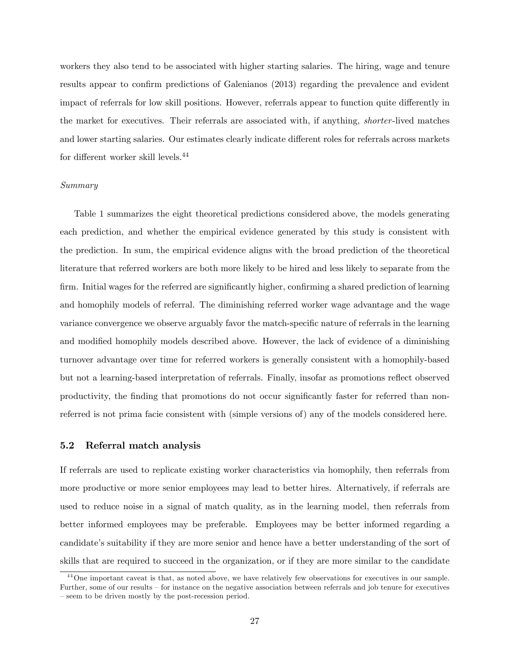workers they also tend to be associated with higher starting salaries. The hiring, wage and tenure results appear to confirm predictions of Galenianos (2013) regarding the prevalence and evident impact of referrals for low skill positions. However, referrals appear to function quite differently in the market for executives. Their referrals are associated with, if anything, shorter -lived matches and lower starting salaries. Our estimates clearly indicate different roles for referrals across markets for different worker skill levels.  $^{44}$ 

#### Summary

Table 1 summarizes the eight theoretical predictions considered above, the models generating each prediction, and whether the empirical evidence generated by this study is consistent with the prediction. In sum, the empirical evidence aligns with the broad prediction of the theoretical literature that referred workers are both more likely to be hired and less likely to separate from the firm. Initial wages for the referred are significantly higher, confirming a shared prediction of learning and homophily models of referral. The diminishing referred worker wage advantage and the wage variance convergence we observe arguably favor the match-specific nature of referrals in the learning and modified homophily models described above. However, the lack of evidence of a diminishing turnover advantage over time for referred workers is generally consistent with a homophily-based but not a learning-based interpretation of referrals. Finally, insofar as promotions reflect observed productivity, the finding that promotions do not occur significantly faster for referred than nonreferred is not prima facie consistent with (simple versions of) any of the models considered here.

#### 5.2 Referral match analysis

If referrals are used to replicate existing worker characteristics via homophily, then referrals from more productive or more senior employees may lead to better hires. Alternatively, if referrals are used to reduce noise in a signal of match quality, as in the learning model, then referrals from better informed employees may be preferable. Employees may be better informed regarding a candidate's suitability if they are more senior and hence have a better understanding of the sort of skills that are required to succeed in the organization, or if they are more similar to the candidate

<sup>&</sup>lt;sup>44</sup>One important caveat is that, as noted above, we have relatively few observations for executives in our sample. Further, some of our results – for instance on the negative association between referrals and job tenure for executives – seem to be driven mostly by the post-recession period.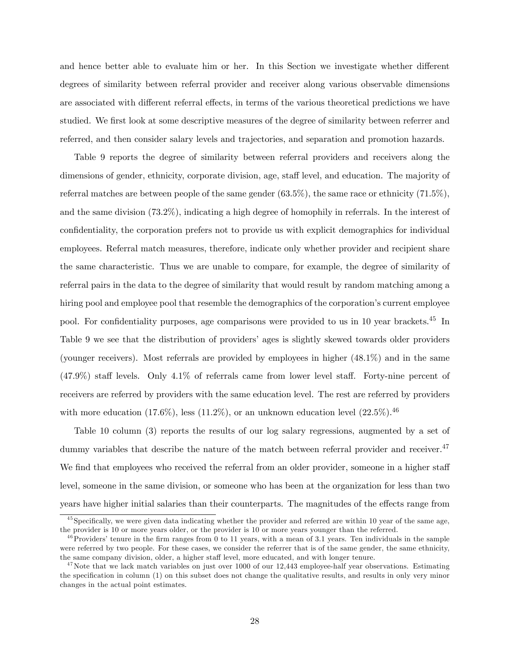and hence better able to evaluate him or her. In this Section we investigate whether different degrees of similarity between referral provider and receiver along various observable dimensions are associated with different referral effects, in terms of the various theoretical predictions we have studied. We first look at some descriptive measures of the degree of similarity between referrer and referred, and then consider salary levels and trajectories, and separation and promotion hazards.

Table 9 reports the degree of similarity between referral providers and receivers along the dimensions of gender, ethnicity, corporate division, age, staff level, and education. The majority of referral matches are between people of the same gender (63.5%), the same race or ethnicity (71.5%), and the same division (73.2%), indicating a high degree of homophily in referrals. In the interest of confidentiality, the corporation prefers not to provide us with explicit demographics for individual employees. Referral match measures, therefore, indicate only whether provider and recipient share the same characteristic. Thus we are unable to compare, for example, the degree of similarity of referral pairs in the data to the degree of similarity that would result by random matching among a hiring pool and employee pool that resemble the demographics of the corporation's current employee pool. For confidentiality purposes, age comparisons were provided to us in 10 year brackets.<sup>45</sup> In Table 9 we see that the distribution of providers' ages is slightly skewed towards older providers (younger receivers). Most referrals are provided by employees in higher (48.1%) and in the same  $(47.9\%)$  staff levels. Only  $4.1\%$  of referrals came from lower level staff. Forty-nine percent of receivers are referred by providers with the same education level. The rest are referred by providers with more education  $(17.6\%)$ , less  $(11.2\%)$ , or an unknown education level  $(22.5\%)$ .<sup>46</sup>

Table 10 column (3) reports the results of our log salary regressions, augmented by a set of dummy variables that describe the nature of the match between referral provider and receiver.<sup>47</sup> We find that employees who received the referral from an older provider, someone in a higher staff level, someone in the same division, or someone who has been at the organization for less than two years have higher initial salaries than their counterparts. The magnitudes of the effects range from

<sup>&</sup>lt;sup>45</sup>Specifically, we were given data indicating whether the provider and referred are within 10 year of the same age, the provider is 10 or more years older, or the provider is 10 or more years younger than the referred.

 $^{46}$ Providers' tenure in the firm ranges from 0 to 11 years, with a mean of 3.1 years. Ten individuals in the sample were referred by two people. For these cases, we consider the referrer that is of the same gender, the same ethnicity, the same company division, older, a higher staff level, more educated, and with longer tenure.

 $47$ Note that we lack match variables on just over 1000 of our 12,443 employee-half year observations. Estimating the specification in column (1) on this subset does not change the qualitative results, and results in only very minor changes in the actual point estimates.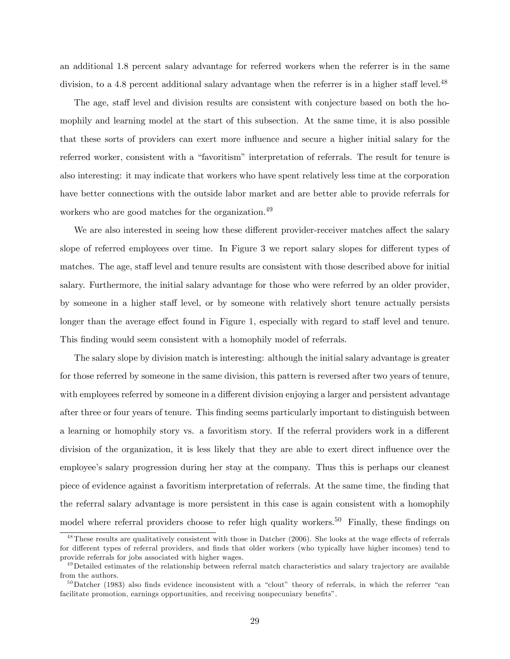an additional 1.8 percent salary advantage for referred workers when the referrer is in the same division, to a 4.8 percent additional salary advantage when the referrer is in a higher staff level.<sup>48</sup>

The age, staff level and division results are consistent with conjecture based on both the homophily and learning model at the start of this subsection. At the same time, it is also possible that these sorts of providers can exert more influence and secure a higher initial salary for the referred worker, consistent with a "favoritism" interpretation of referrals. The result for tenure is also interesting: it may indicate that workers who have spent relatively less time at the corporation have better connections with the outside labor market and are better able to provide referrals for workers who are good matches for the organization.<sup>49</sup>

We are also interested in seeing how these different provider-receiver matches affect the salary slope of referred employees over time. In Figure 3 we report salary slopes for different types of matches. The age, staff level and tenure results are consistent with those described above for initial salary. Furthermore, the initial salary advantage for those who were referred by an older provider, by someone in a higher staff level, or by someone with relatively short tenure actually persists longer than the average effect found in Figure 1, especially with regard to staff level and tenure. This finding would seem consistent with a homophily model of referrals.

The salary slope by division match is interesting: although the initial salary advantage is greater for those referred by someone in the same division, this pattern is reversed after two years of tenure, with employees referred by someone in a different division enjoying a larger and persistent advantage after three or four years of tenure. This Önding seems particularly important to distinguish between a learning or homophily story vs. a favoritism story. If the referral providers work in a different division of the organization, it is less likely that they are able to exert direct influence over the employee's salary progression during her stay at the company. Thus this is perhaps our cleanest piece of evidence against a favoritism interpretation of referrals. At the same time, the Önding that the referral salary advantage is more persistent in this case is again consistent with a homophily model where referral providers choose to refer high quality workers.<sup>50</sup> Finally, these findings on

 $48$ These results are qualitatively consistent with those in Datcher (2006). She looks at the wage effects of referrals for different types of referral providers, and finds that older workers (who typically have higher incomes) tend to provide referrals for jobs associated with higher wages.

<sup>&</sup>lt;sup>49</sup>Detailed estimates of the relationship between referral match characteristics and salary trajectory are available from the authors.

 $50$ Datcher (1983) also finds evidence inconsistent with a "clout" theory of referrals, in which the referrer "can facilitate promotion, earnings opportunities, and receiving nonpecuniary benefits".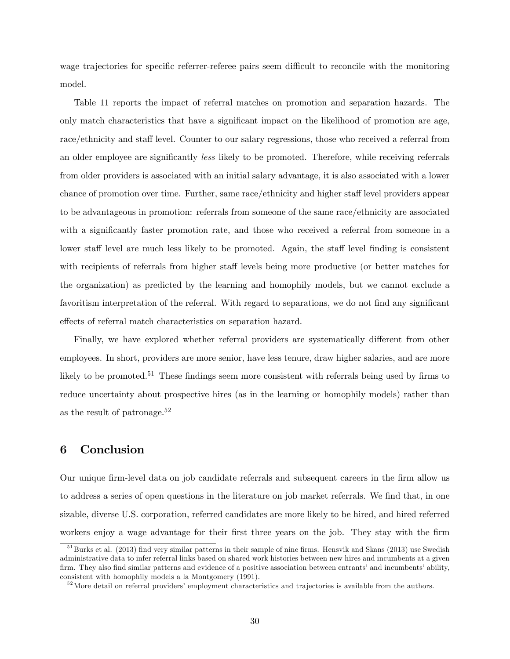wage trajectories for specific referrer-referee pairs seem difficult to reconcile with the monitoring model.

Table 11 reports the impact of referral matches on promotion and separation hazards. The only match characteristics that have a significant impact on the likelihood of promotion are age, race/ethnicity and staff level. Counter to our salary regressions, those who received a referral from an older employee are significantly *less* likely to be promoted. Therefore, while receiving referrals from older providers is associated with an initial salary advantage, it is also associated with a lower chance of promotion over time. Further, same race/ethnicity and higher staff level providers appear to be advantageous in promotion: referrals from someone of the same race/ethnicity are associated with a significantly faster promotion rate, and those who received a referral from someone in a lower staff level are much less likely to be promoted. Again, the staff level finding is consistent with recipients of referrals from higher staff levels being more productive (or better matches for the organization) as predicted by the learning and homophily models, but we cannot exclude a favoritism interpretation of the referral. With regard to separations, we do not find any significant effects of referral match characteristics on separation hazard.

Finally, we have explored whether referral providers are systematically different from other employees. In short, providers are more senior, have less tenure, draw higher salaries, and are more likely to be promoted.<sup>51</sup> These findings seem more consistent with referrals being used by firms to reduce uncertainty about prospective hires (as in the learning or homophily models) rather than as the result of patronage.<sup>52</sup>

## 6 Conclusion

Our unique Örm-level data on job candidate referrals and subsequent careers in the Örm allow us to address a series of open questions in the literature on job market referrals. We find that, in one sizable, diverse U.S. corporation, referred candidates are more likely to be hired, and hired referred workers enjoy a wage advantage for their first three years on the job. They stay with the firm

 $51$ Burks et al. (2013) find very similar patterns in their sample of nine firms. Hensvik and Skans (2013) use Swedish administrative data to infer referral links based on shared work histories between new hires and incumbents at a given firm. They also find similar patterns and evidence of a positive association between entrants' and incumbents' ability, consistent with homophily models a la Montgomery (1991).

 $52$ More detail on referral providers' employment characteristics and trajectories is available from the authors.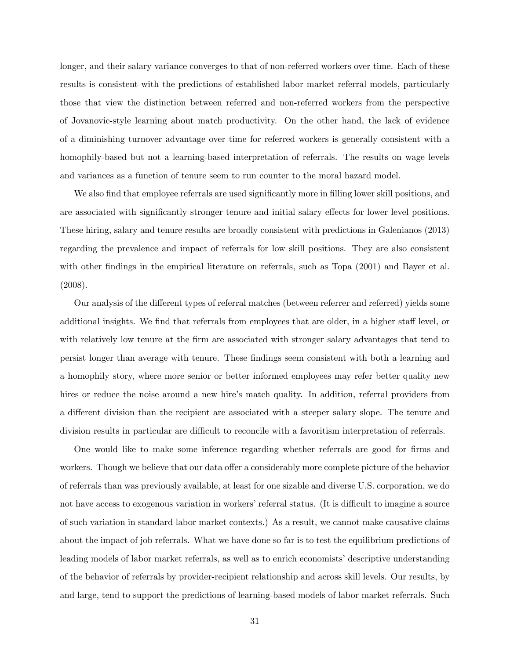longer, and their salary variance converges to that of non-referred workers over time. Each of these results is consistent with the predictions of established labor market referral models, particularly those that view the distinction between referred and non-referred workers from the perspective of Jovanovic-style learning about match productivity. On the other hand, the lack of evidence of a diminishing turnover advantage over time for referred workers is generally consistent with a homophily-based but not a learning-based interpretation of referrals. The results on wage levels and variances as a function of tenure seem to run counter to the moral hazard model.

We also find that employee referrals are used significantly more in filling lower skill positions, and are associated with significantly stronger tenure and initial salary effects for lower level positions. These hiring, salary and tenure results are broadly consistent with predictions in Galenianos (2013) regarding the prevalence and impact of referrals for low skill positions. They are also consistent with other findings in the empirical literature on referrals, such as Topa (2001) and Bayer et al. (2008).

Our analysis of the different types of referral matches (between referrer and referred) yields some additional insights. We find that referrals from employees that are older, in a higher staff level, or with relatively low tenure at the firm are associated with stronger salary advantages that tend to persist longer than average with tenure. These Öndings seem consistent with both a learning and a homophily story, where more senior or better informed employees may refer better quality new hires or reduce the noise around a new hire's match quality. In addition, referral providers from a different division than the recipient are associated with a steeper salary slope. The tenure and division results in particular are difficult to reconcile with a favoritism interpretation of referrals.

One would like to make some inference regarding whether referrals are good for firms and workers. Though we believe that our data offer a considerably more complete picture of the behavior of referrals than was previously available, at least for one sizable and diverse U.S. corporation, we do not have access to exogenous variation in workers' referral status. (It is difficult to imagine a source of such variation in standard labor market contexts.) As a result, we cannot make causative claims about the impact of job referrals. What we have done so far is to test the equilibrium predictions of leading models of labor market referrals, as well as to enrich economists' descriptive understanding of the behavior of referrals by provider-recipient relationship and across skill levels. Our results, by and large, tend to support the predictions of learning-based models of labor market referrals. Such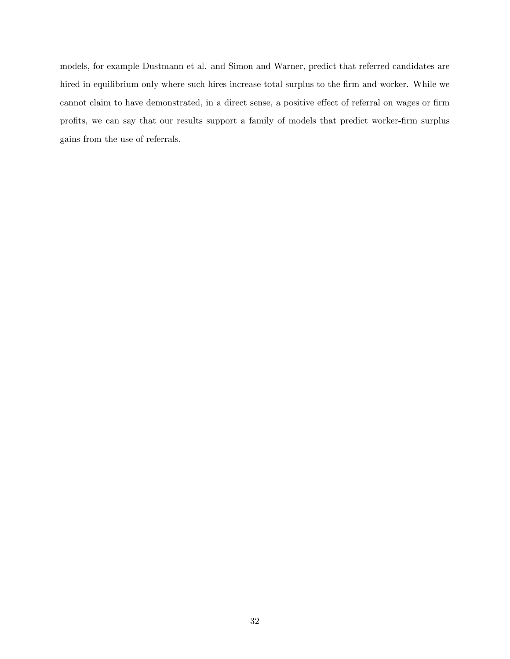models, for example Dustmann et al. and Simon and Warner, predict that referred candidates are hired in equilibrium only where such hires increase total surplus to the firm and worker. While we cannot claim to have demonstrated, in a direct sense, a positive effect of referral on wages or firm profits, we can say that our results support a family of models that predict worker-firm surplus gains from the use of referrals.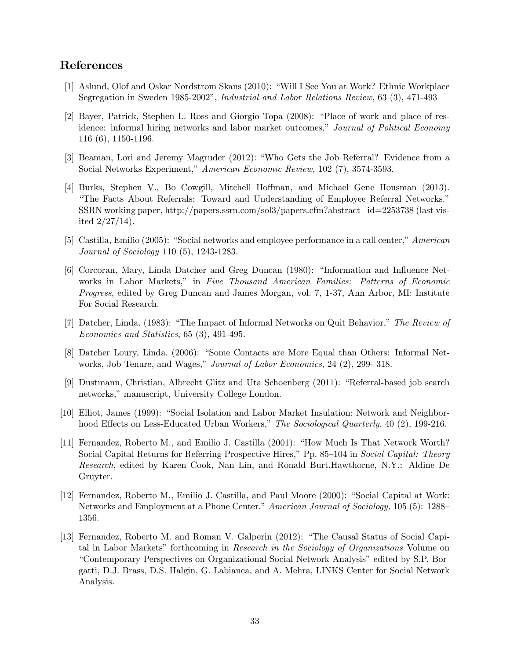## References

- [1] Aslund, Olof and Oskar Nordstrom Skans (2010): "Will I See You at Work? Ethnic Workplace Segregation in Sweden 1985-2002", *Industrial and Labor Relations Review*, 63 (3), 471-493
- [2] Bayer, Patrick, Stephen L. Ross and Giorgio Topa (2008): "Place of work and place of residence: informal hiring networks and labor market outcomes," Journal of Political Economy 116 (6), 1150-1196.
- [3] Beaman, Lori and Jeremy Magruder (2012): "Who Gets the Job Referral? Evidence from a Social Networks Experiment," American Economic Review, 102 (7), 3574-3593.
- [4] Burks, Stephen V., Bo Cowgill, Mitchell Hoffman, and Michael Gene Housman (2013). *i*The Facts About Referrals: Toward and Understanding of Employee Referral Networks.<sup>n</sup> SSRN working paper, http://papers.ssrn.com/sol3/papers.cfm?abstract\_id=2253738 (last visited 2/27/14).
- [5] Castilla, Emilio (2005): "Social networks and employee performance in a call center,"  $American$ Journal of Sociology 110 (5), 1243-1283.
- [6] Corcoran, Mary, Linda Datcher and Greg Duncan (1980): "Information and Influence Networks in Labor Markets," in Five Thousand American Families: Patterns of Economic Progress, edited by Greg Duncan and James Morgan, vol. 7, 1-37, Ann Arbor, MI: Institute For Social Research.
- [7] Datcher, Linda. (1983): "The Impact of Informal Networks on Quit Behavior," The Review of Economics and Statistics, 65 (3), 491-495.
- [8] Datcher Loury, Linda. (2006): "Some Contacts are More Equal than Others: Informal Networks, Job Tenure, and Wages," *Journal of Labor Economics*, 24 (2), 299- 318.
- [9] Dustmann, Christian, Albrecht Glitz and Uta Schoenberg (2011): "Referral-based job search networks," manuscript, University College London.
- [10] Elliot, James (1999): "Social Isolation and Labor Market Insulation: Network and Neighborhood Effects on Less-Educated Urban Workers," The Sociological Quarterly, 40 (2), 199-216.
- [11] Fernandez, Roberto M., and Emilio J. Castilla (2001): "How Much Is That Network Worth? Social Capital Returns for Referring Prospective Hires," Pp. 85–104 in Social Capital: Theory Research, edited by Karen Cook, Nan Lin, and Ronald Burt.Hawthorne, N.Y.: Aldine De Gruyter.
- [12] Fernandez, Roberto M., Emilio J. Castilla, and Paul Moore (2000): "Social Capital at Work: Networks and Employment at a Phone Center." American Journal of Sociology, 105 (5): 1288 1356.
- [13] Fernandez, Roberto M. and Roman V. Galperin (2012): "The Causal Status of Social Capital in Labor Markets" forthcoming in Research in the Sociology of Organizations Volume on ìContemporary Perspectives on Organizational Social Network Analysisî edited by S.P. Borgatti, D.J. Brass, D.S. Halgin, G. Labianca, and A. Mehra, LINKS Center for Social Network Analysis.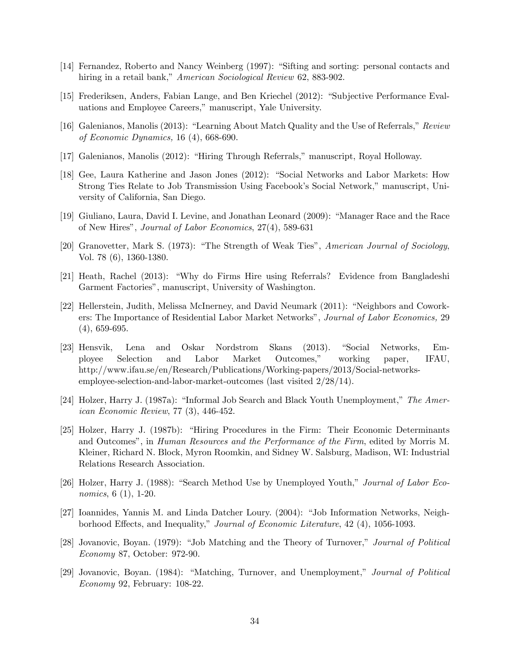- [14] Fernandez, Roberto and Nancy Weinberg (1997): "Sifting and sorting: personal contacts and hiring in a retail bank," American Sociological Review 62, 883-902.
- [15] Frederiksen, Anders, Fabian Lange, and Ben Kriechel (2012): "Subjective Performance Evaluations and Employee Careers," manuscript, Yale University.
- [16] Galenianos, Manolis (2013): "Learning About Match Quality and the Use of Referrals," Review of Economic Dynamics, 16 (4), 668-690.
- [17] Galenianos, Manolis (2012): "Hiring Through Referrals," manuscript, Royal Holloway.
- [18] Gee, Laura Katherine and Jason Jones (2012): "Social Networks and Labor Markets: How Strong Ties Relate to Job Transmission Using Facebook's Social Network," manuscript, University of California, San Diego.
- [19] Giuliano, Laura, David I. Levine, and Jonathan Leonard (2009): "Manager Race and the Race of New Hiresî, Journal of Labor Economics, 27(4), 589-631
- [20] Granovetter, Mark S. (1973): "The Strength of Weak Ties", American Journal of Sociology, Vol. 78 (6), 1360-1380.
- [21] Heath, Rachel (2013): "Why do Firms Hire using Referrals? Evidence from Bangladeshi Garment Factories", manuscript, University of Washington.
- [22] Hellerstein, Judith, Melissa McInerney, and David Neumark (2011): "Neighbors and Coworkers: The Importance of Residential Labor Market Networks", Journal of Labor Economics, 29 (4), 659-695.
- [23] Hensvik, Lena and Oskar Nordstrom Skans (2013). "Social Networks, Employee Selection and Labor Market Outcomes,î working paper, IFAU, http://www.ifau.se/en/Research/Publications/Working-papers/2013/Social-networksemployee-selection-and-labor-market-outcomes (last visited 2/28/14).
- [24] Holzer, Harry J. (1987a): "Informal Job Search and Black Youth Unemployment," The American Economic Review, 77 (3), 446-452.
- [25] Holzer, Harry J. (1987b): "Hiring Procedures in the Firm: Their Economic Determinants and Outcomes", in Human Resources and the Performance of the Firm, edited by Morris M. Kleiner, Richard N. Block, Myron Roomkin, and Sidney W. Salsburg, Madison, WI: Industrial Relations Research Association.
- [26] Holzer, Harry J. (1988): "Search Method Use by Unemployed Youth," Journal of Labor Economics, 6 (1), 1-20.
- [27] Ioannides, Yannis M. and Linda Datcher Loury. (2004): "Job Information Networks, Neighborhood Effects, and Inequality," Journal of Economic Literature, 42 (4), 1056-1093.
- [28] Jovanovic, Boyan. (1979): "Job Matching and the Theory of Turnover," Journal of Political Economy 87, October: 972-90.
- [29] Jovanovic, Boyan. (1984): "Matching, Turnover, and Unemployment," Journal of Political Economy 92, February: 108-22.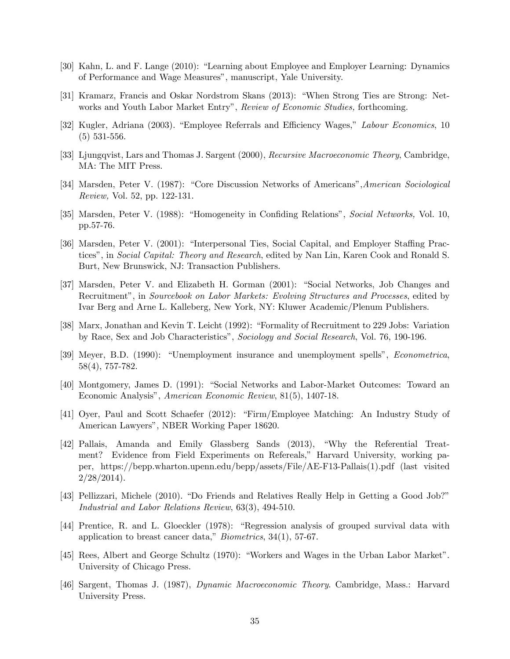- [30] Kahn, L. and F. Lange (2010): "Learning about Employee and Employer Learning: Dynamics of Performance and Wage Measures", manuscript, Yale University.
- [31] Kramarz, Francis and Oskar Nordstrom Skans (2013): "When Strong Ties are Strong: Networks and Youth Labor Market Entry", Review of Economic Studies, forthcoming.
- [32] Kugler, Adriana (2003). "Employee Referrals and Efficiency Wages," Labour Economics, 10 (5) 531-556.
- [33] Ljungqvist, Lars and Thomas J. Sargent (2000), Recursive Macroeconomic Theory, Cambridge, MA: The MIT Press.
- [34] Marsden, Peter V. (1987): "Core Discussion Networks of Americans", American Sociological Review, Vol. 52, pp. 122-131.
- [35] Marsden, Peter V. (1988): "Homogeneity in Confiding Relations", Social Networks, Vol. 10, pp.57-76.
- [36] Marsden, Peter V. (2001): "Interpersonal Ties, Social Capital, and Employer Staffing Practices", in Social Capital: Theory and Research, edited by Nan Lin, Karen Cook and Ronald S. Burt, New Brunswick, NJ: Transaction Publishers.
- [37] Marsden, Peter V. and Elizabeth H. Gorman (2001): "Social Networks, Job Changes and Recruitment", in Sourcebook on Labor Markets: Evolving Structures and Processes, edited by Ivar Berg and Arne L. Kalleberg, New York, NY: Kluwer Academic/Plenum Publishers.
- [38] Marx, Jonathan and Kevin T. Leicht (1992): "Formality of Recruitment to 229 Jobs: Variation by Race, Sex and Job Characteristicsî, Sociology and Social Research, Vol. 76, 190-196.
- [39] Meyer, B.D. (1990): "Unemployment insurance and unemployment spells", *Econometrica*, 58(4), 757-782.
- [40] Montgomery, James D. (1991): "Social Networks and Labor-Market Outcomes: Toward an Economic Analysis", American Economic Review, 81(5), 1407-18.
- [41] Oyer, Paul and Scott Schaefer (2012): ìFirm/Employee Matching: An Industry Study of American Lawyers", NBER Working Paper 18620.
- [42] Pallais, Amanda and Emily Glassberg Sands (2013), "Why the Referential Treatment? Evidence from Field Experiments on Refereals," Harvard University, working paper, https://bepp.wharton.upenn.edu/bepp/assets/File/AE-F13-Pallais(1).pdf (last visited  $2/28/2014$ .
- [43] Pellizzari, Michele (2010). "Do Friends and Relatives Really Help in Getting a Good Job?" Industrial and Labor Relations Review, 63(3), 494-510.
- [44] Prentice, R. and L. Gloeckler (1978): "Regression analysis of grouped survival data with application to breast cancer data,"  $Biometrics$ ,  $34(1)$ , 57-67.
- [45] Rees, Albert and George Schultz (1970): "Workers and Wages in the Urban Labor Market". University of Chicago Press.
- [46] Sargent, Thomas J. (1987), Dynamic Macroeconomic Theory. Cambridge, Mass.: Harvard University Press.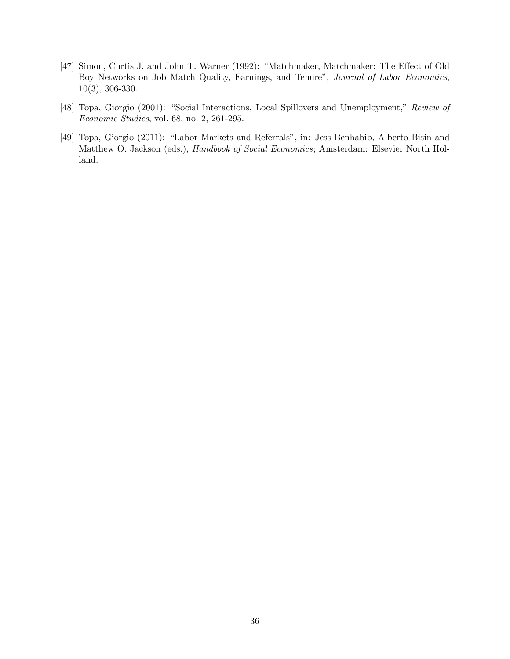- [47] Simon, Curtis J. and John T. Warner (1992): "Matchmaker, Matchmaker: The Effect of Old Boy Networks on Job Match Quality, Earnings, and Tenure", Journal of Labor Economics, 10(3), 306-330.
- [48] Topa, Giorgio (2001): "Social Interactions, Local Spillovers and Unemployment," Review of Economic Studies, vol. 68, no. 2, 261-295.
- [49] Topa, Giorgio (2011): "Labor Markets and Referrals", in: Jess Benhabib, Alberto Bisin and Matthew O. Jackson (eds.), Handbook of Social Economics; Amsterdam: Elsevier North Holland.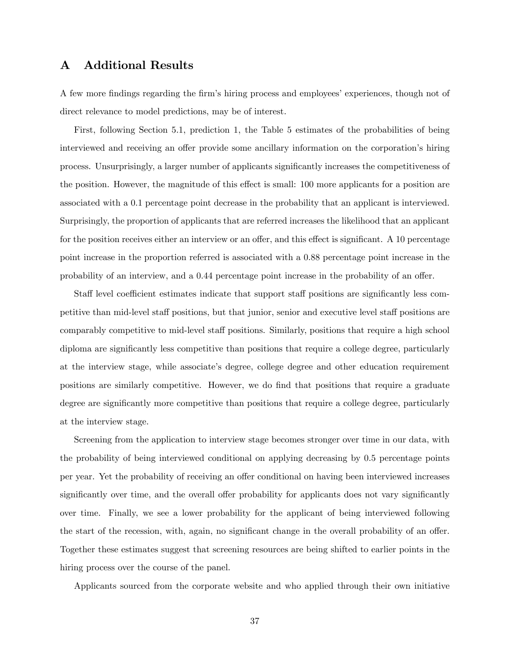## A Additional Results

A few more findings regarding the firm's hiring process and employees' experiences, though not of direct relevance to model predictions, may be of interest.

First, following Section 5.1, prediction 1, the Table 5 estimates of the probabilities of being interviewed and receiving an offer provide some ancillary information on the corporation's hiring process. Unsurprisingly, a larger number of applicants significantly increases the competitiveness of the position. However, the magnitude of this effect is small: 100 more applicants for a position are associated with a 0.1 percentage point decrease in the probability that an applicant is interviewed. Surprisingly, the proportion of applicants that are referred increases the likelihood that an applicant for the position receives either an interview or an offer, and this effect is significant. A 10 percentage point increase in the proportion referred is associated with a 0.88 percentage point increase in the probability of an interview, and a 0.44 percentage point increase in the probability of an offer.

Staff level coefficient estimates indicate that support staff positions are significantly less competitive than mid-level staff positions, but that junior, senior and executive level staff positions are comparably competitive to mid-level staff positions. Similarly, positions that require a high school diploma are significantly less competitive than positions that require a college degree, particularly at the interview stage, while associate's degree, college degree and other education requirement positions are similarly competitive. However, we do Önd that positions that require a graduate degree are significantly more competitive than positions that require a college degree, particularly at the interview stage.

Screening from the application to interview stage becomes stronger over time in our data, with the probability of being interviewed conditional on applying decreasing by 0.5 percentage points per year. Yet the probability of receiving an offer conditional on having been interviewed increases significantly over time, and the overall offer probability for applicants does not vary significantly over time. Finally, we see a lower probability for the applicant of being interviewed following the start of the recession, with, again, no significant change in the overall probability of an offer. Together these estimates suggest that screening resources are being shifted to earlier points in the hiring process over the course of the panel.

Applicants sourced from the corporate website and who applied through their own initiative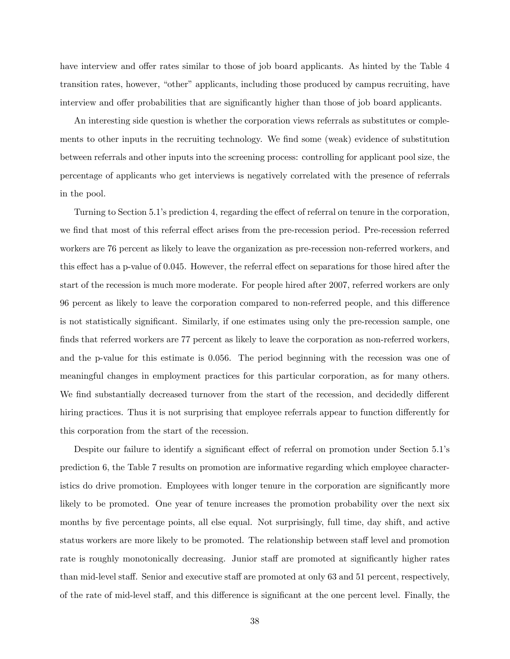have interview and offer rates similar to those of job board applicants. As hinted by the Table 4 transition rates, however, "other" applicants, including those produced by campus recruiting, have interview and offer probabilities that are significantly higher than those of job board applicants.

An interesting side question is whether the corporation views referrals as substitutes or complements to other inputs in the recruiting technology. We find some (weak) evidence of substitution between referrals and other inputs into the screening process: controlling for applicant pool size, the percentage of applicants who get interviews is negatively correlated with the presence of referrals in the pool.

Turning to Section 5.1's prediction 4, regarding the effect of referral on tenure in the corporation, we find that most of this referral effect arises from the pre-recession period. Pre-recession referred workers are 76 percent as likely to leave the organization as pre-recession non-referred workers, and this effect has a p-value of 0.045. However, the referral effect on separations for those hired after the start of the recession is much more moderate. For people hired after 2007, referred workers are only 96 percent as likely to leave the corporation compared to non-referred people, and this difference is not statistically significant. Similarly, if one estimates using only the pre-recession sample, one finds that referred workers are 77 percent as likely to leave the corporation as non-referred workers, and the p-value for this estimate is 0.056. The period beginning with the recession was one of meaningful changes in employment practices for this particular corporation, as for many others. We find substantially decreased turnover from the start of the recession, and decidedly different hiring practices. Thus it is not surprising that employee referrals appear to function differently for this corporation from the start of the recession.

Despite our failure to identify a significant effect of referral on promotion under Section 5.1's prediction 6, the Table 7 results on promotion are informative regarding which employee characteristics do drive promotion. Employees with longer tenure in the corporation are significantly more likely to be promoted. One year of tenure increases the promotion probability over the next six months by five percentage points, all else equal. Not surprisingly, full time, day shift, and active status workers are more likely to be promoted. The relationship between staff level and promotion rate is roughly monotonically decreasing. Junior staff are promoted at significantly higher rates than mid-level staff. Senior and executive staff are promoted at only 63 and 51 percent, respectively, of the rate of mid-level staff, and this difference is significant at the one percent level. Finally, the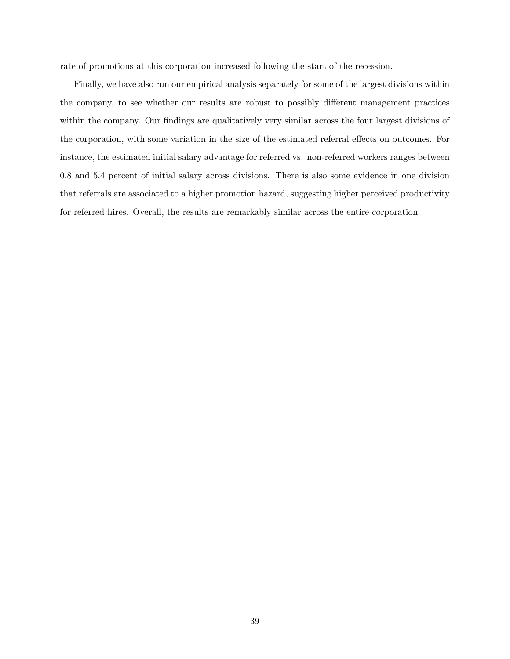rate of promotions at this corporation increased following the start of the recession.

Finally, we have also run our empirical analysis separately for some of the largest divisions within the company, to see whether our results are robust to possibly different management practices within the company. Our findings are qualitatively very similar across the four largest divisions of the corporation, with some variation in the size of the estimated referral effects on outcomes. For instance, the estimated initial salary advantage for referred vs. non-referred workers ranges between 0.8 and 5.4 percent of initial salary across divisions. There is also some evidence in one division that referrals are associated to a higher promotion hazard, suggesting higher perceived productivity for referred hires. Overall, the results are remarkably similar across the entire corporation.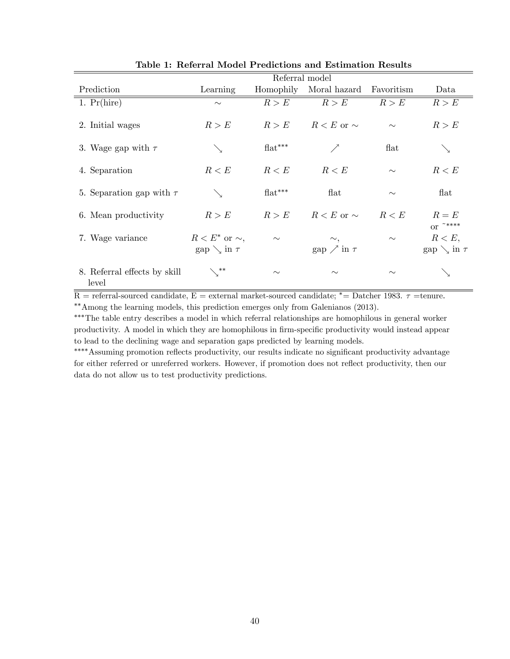|                                       | Referral model                                     |                     |                                    |            |                                        |  |  |  |  |  |
|---------------------------------------|----------------------------------------------------|---------------------|------------------------------------|------------|----------------------------------------|--|--|--|--|--|
| Prediction                            | Learning                                           | Homophily           | Moral hazard                       | Favoritism | Data                                   |  |  |  |  |  |
| 1. $Pr(hire)$                         | $\sim$                                             | R>E                 | R>E                                | R>E        | R>E                                    |  |  |  |  |  |
| 2. Initial wages                      | R>E                                                | R>E                 | $R < E$ or $\sim$                  | $\sim$     | R>E                                    |  |  |  |  |  |
| 3. Wage gap with $\tau$               | \                                                  | $\text{flat}^{***}$ |                                    | flat       |                                        |  |  |  |  |  |
| 4. Separation                         | R < E                                              | R < E               | R < E                              | $\sim$     | R < E                                  |  |  |  |  |  |
| 5. Separation gap with $\tau$         | $\searrow$                                         | $\text{flat}^{***}$ | flat                               | $\sim$     | flat                                   |  |  |  |  |  |
| 6. Mean productivity                  | R>E                                                | R>E                 | $R < E$ or $\sim$                  | R < E      | $R = E$<br>or $\int$ ****              |  |  |  |  |  |
| 7. Wage variance                      | $R < E^*$ or $\sim$ ,<br>gap $\setminus$ in $\tau$ | $\sim$              | $\sim$<br>gap $\nearrow$ in $\tau$ | $\sim$     | $R < E$ ,<br>gap $\setminus$ in $\tau$ |  |  |  |  |  |
| 8. Referral effects by skill<br>level | $\searrow$ **                                      | $\sim$              | $\sim$                             | $\sim$     | ↘                                      |  |  |  |  |  |

Table 1: Referral Model Predictions and Estimation Results

 $\overline{R}$  = referral-sourced candidate,  $E$  = external market-sourced candidate; \*= Datcher 1983.  $\tau$  =tenure. Among the learning models, this prediction emerges only from Galenianos (2013).

\*\*\*The table entry describes a model in which referral relationships are homophilous in general worker productivity. A model in which they are homophilous in firm-specific productivity would instead appear to lead to the declining wage and separation gaps predicted by learning models.

\*\*\*\* Assuming promotion reflects productivity, our results indicate no significant productivity advantage for either referred or unreferred workers. However, if promotion does not reflect productivity, then our data do not allow us to test productivity predictions.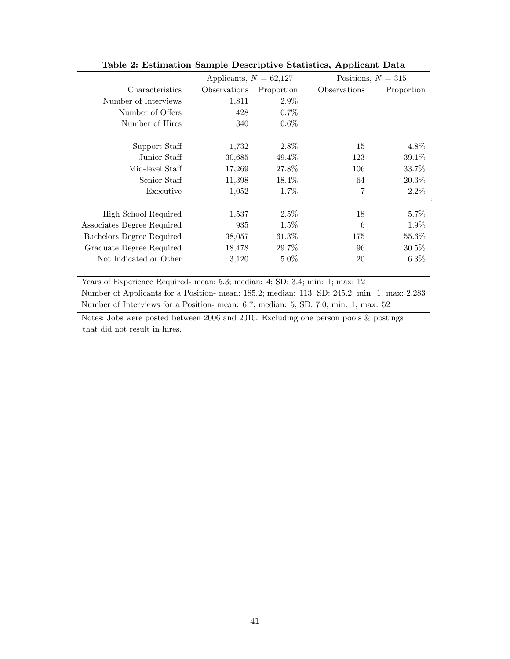|                            |                          |            | . .                  |            |  |  |
|----------------------------|--------------------------|------------|----------------------|------------|--|--|
|                            | Applicants, $N = 62,127$ |            | Positions, $N = 315$ |            |  |  |
| Characteristics            | Observations             | Proportion | Observations         | Proportion |  |  |
| Number of Interviews       | 1,811                    | 2.9%       |                      |            |  |  |
| Number of Offers           | 428                      | $0.7\%$    |                      |            |  |  |
| Number of Hires            | 340                      | $0.6\%$    |                      |            |  |  |
| Support Staff              | 1,732                    | $2.8\%$    | 15                   | 4.8%       |  |  |
| Junior Staff               | 30,685                   | $49.4\%$   | 123                  | $39.1\%$   |  |  |
| Mid-level Staff            | 17,269                   | 27.8%      | 106                  | 33.7%      |  |  |
| Senior Staff               | 11,398                   | 18.4\%     | 64                   | $20.3\%$   |  |  |
| Executive                  | 1,052                    | $1.7\%$    | 7                    | 2.2%       |  |  |
|                            |                          |            |                      |            |  |  |
| High School Required       | 1,537                    | $2.5\%$    | 18                   | $5.7\%$    |  |  |
| Associates Degree Required | 935                      | $1.5\%$    | 6                    | $1.9\%$    |  |  |
| Bachelors Degree Required  | 38,057                   | $61.3\%$   | 175                  | 55.6%      |  |  |
| Graduate Degree Required   | 18,478                   | 29.7%      | 96                   | $30.5\%$   |  |  |
| Not Indicated or Other     | 3,120                    | $5.0\%$    | 20                   | $6.3\%$    |  |  |
|                            |                          |            |                      |            |  |  |

.

Table 2: Estimation Sample Descriptive Statistics, Applicant Data

Years of Experience Required- mean: 5.3; median: 4; SD: 3.4; min: 1; max: 12 Number of Applicants for a Position- mean: 185.2; median: 113; SD: 245.2; min: 1; max: 2,283 Number of Interviews for a Position- mean: 6.7; median: 5; SD: 7.0; min: 1; max: 52

Notes: Jobs were posted between 2006 and 2010. Excluding one person pools & postings that did not result in hires.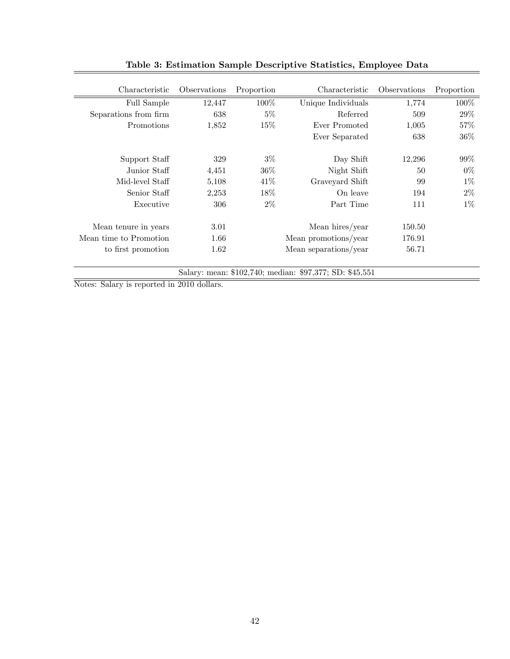| Characteristic         | Observations                                            | Proportion | Characteristic        | Observations | Proportion |  |  |  |  |  |  |
|------------------------|---------------------------------------------------------|------------|-----------------------|--------------|------------|--|--|--|--|--|--|
| <b>Full Sample</b>     | 12,447                                                  | $100\%$    | Unique Individuals    | 1,774        | 100%       |  |  |  |  |  |  |
| Separations from firm  | 638                                                     | $5\%$      | Referred              | 509          | 29%        |  |  |  |  |  |  |
| Promotions             | 1,852                                                   | $15\%$     | Ever Promoted         | 1,005        | 57%        |  |  |  |  |  |  |
|                        |                                                         |            | Ever Separated        | 638          | 36%        |  |  |  |  |  |  |
| Support Staff          | 329                                                     | $3\%$      | Day Shift             | 12,296       | 99%        |  |  |  |  |  |  |
| Junior Staff           | 4,451                                                   | $36\%$     | Night Shift           | 50           | $0\%$      |  |  |  |  |  |  |
| Mid-level Staff        | 5,108                                                   | 41%        | Graveyard Shift       | 99           | $1\%$      |  |  |  |  |  |  |
| Senior Staff           | 2,253                                                   | $18\%$     | On leave              | 194          | $2\%$      |  |  |  |  |  |  |
| Executive              | 306                                                     | $2\%$      | Part Time             | 111          | $1\%$      |  |  |  |  |  |  |
| Mean tenure in years   | 3.01                                                    |            | Mean hires/year       | 150.50       |            |  |  |  |  |  |  |
| Mean time to Promotion | 1.66                                                    |            | Mean promotions/year  | 176.91       |            |  |  |  |  |  |  |
| to first promotion     | 1.62                                                    |            | Mean separations/year | 56.71        |            |  |  |  |  |  |  |
|                        | Salary: mean: \$102,740; median: \$97,377; SD: \$45,551 |            |                       |              |            |  |  |  |  |  |  |

## Table 3: Estimation Sample Descriptive Statistics, Employee Data

Notes: Salary is reported in 2010 dollars.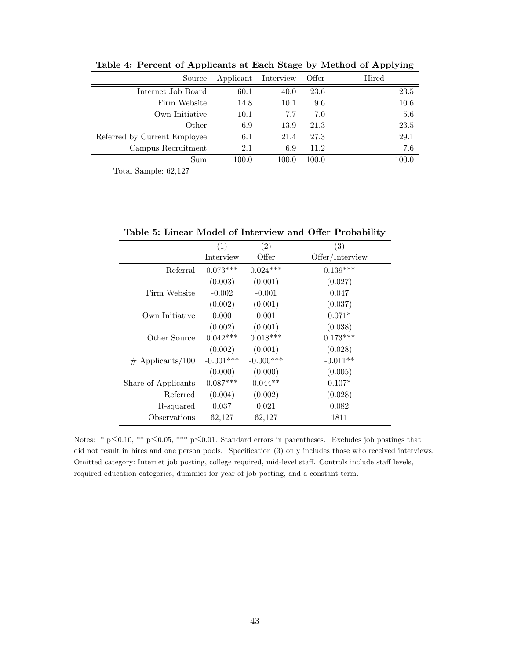| Source                       | Applicant | Interview | Offer | Hired |
|------------------------------|-----------|-----------|-------|-------|
| Internet Job Board           | 60.1      | 40.0      | 23.6  | 23.5  |
| Firm Website                 | 14.8      | 10.1      | 9.6   | 10.6  |
| Own Initiative               | 10.1      | 7.7       | 7.0   | 5.6   |
| Other                        | 6.9       | 13.9      | 21.3  | 23.5  |
| Referred by Current Employee | 6.1       | 21.4      | 27.3  | 29.1  |
| Campus Recruitment           | 2.1       | 6.9       | 11.2  | 7.6   |
| Sum                          | 100.0     | 100.0     | 100.0 | 100.0 |
| $T = 10$ $T = 30107$         |           |           |       |       |

Table 4: Percent of Applicants at Each Stage by Method of Applying

Total Sample: 62,127

Table 5: Linear Model of Interview and Offer Probability

|                     | (1)         | (2)          | $\left( 3\right)$ |
|---------------------|-------------|--------------|-------------------|
|                     | Interview   | Offer        | Offer/Interview   |
| Referral            | $0.073***$  | $0.024***$   | $0.139***$        |
|                     | (0.003)     | (0.001)      | (0.027)           |
| Firm Website        | $-0.002$    | $-0.001$     | 0.047             |
|                     | (0.002)     | (0.001)      | (0.037)           |
| Own Initiative      | 0.000       | 0.001        | $0.071*$          |
|                     | (0.002)     | (0.001)      | (0.038)           |
| Other Source        | $0.042***$  | $0.018***$   | $0.173***$        |
|                     | (0.002)     | (0.001)      | (0.028)           |
| $#$ Applicants/100  | $-0.001***$ | $-0.000$ *** | $-0.011**$        |
|                     | (0.000)     | (0.000)      | (0.005)           |
| Share of Applicants | $0.087***$  | $0.044**$    | $0.107*$          |
| Referred            | (0.004)     | (0.002)      | (0.028)           |
| R-squared           | 0.037       | 0.021        | 0.082             |
| Observations        | 62,127      | 62,127       | 1811              |

Notes: \* p $\leq 0.10$ , \*\* p $\leq 0.05$ , \*\*\* p $\leq 0.01$ . Standard errors in parentheses. Excludes job postings that did not result in hires and one person pools. Specification (3) only includes those who received interviews. Omitted category: Internet job posting, college required, mid-level staff. Controls include staff levels, required education categories, dummies for year of job posting, and a constant term.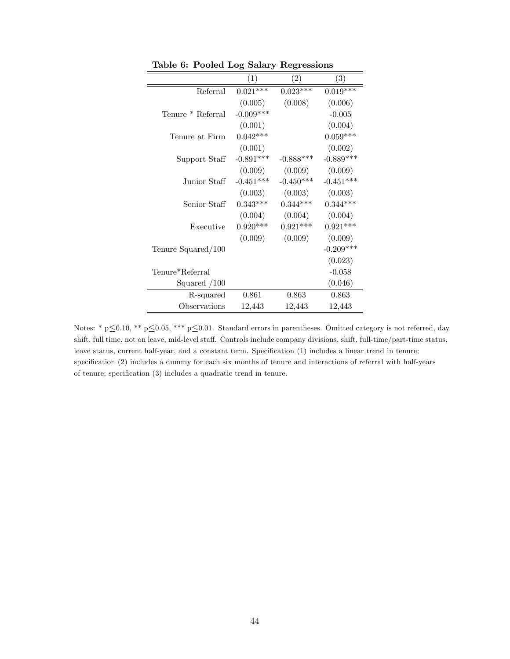|                    | $\left( 1\right)$ | $\left( 2\right)$ | $\left( 3\right)$ |
|--------------------|-------------------|-------------------|-------------------|
| Referral           | $0.021***$        | $0.023***$        | $0.019***$        |
|                    | (0.005)           | (0.008)           | (0.006)           |
| Tenure * Referral  | $-0.009***$       |                   | $-0.005$          |
|                    | (0.001)           |                   | (0.004)           |
| Tenure at Firm     | $0.042***$        |                   | $0.059***$        |
|                    | (0.001)           |                   | (0.002)           |
| Support Staff      | $-0.891***$       | $-0.888***$       | $-0.889***$       |
|                    | (0.009)           | (0.009)           | (0.009)           |
| Junior Staff       | $-0.451***$       | $-0.450***$       | $-0.451***$       |
|                    | (0.003)           | (0.003)           | (0.003)           |
| Senior Staff       | $0.343***$        | $0.344***$        | $0.344***$        |
|                    | (0.004)           | (0.004)           | (0.004)           |
| Executive          | $0.920***$        | $0.921***$        | $0.921***$        |
|                    | (0.009)           | (0.009)           | (0.009)           |
| Tenure Squared/100 |                   |                   | $-0.209***$       |
|                    |                   |                   | (0.023)           |
| Tenure*Referral    |                   |                   | $-0.058$          |
| Squared $/100$     |                   |                   | (0.046)           |
| R-squared          | 0.861             | 0.863             | 0.863             |
| Observations       | 12,443            | 12,443            | 12,443            |

Table 6: Pooled Log Salary Regressions

Notes: \*  $p\leq 0.10$ , \*\*  $p\leq 0.05$ , \*\*\*  $p\leq 0.01$ . Standard errors in parentheses. Omitted category is not referred, day shift, full time, not on leave, mid-level staff. Controls include company divisions, shift, full-time/part-time status, leave status, current half-year, and a constant term. Specification (1) includes a linear trend in tenure; specification (2) includes a dummy for each six months of tenure and interactions of referral with half-years of tenure; specification (3) includes a quadratic trend in tenure.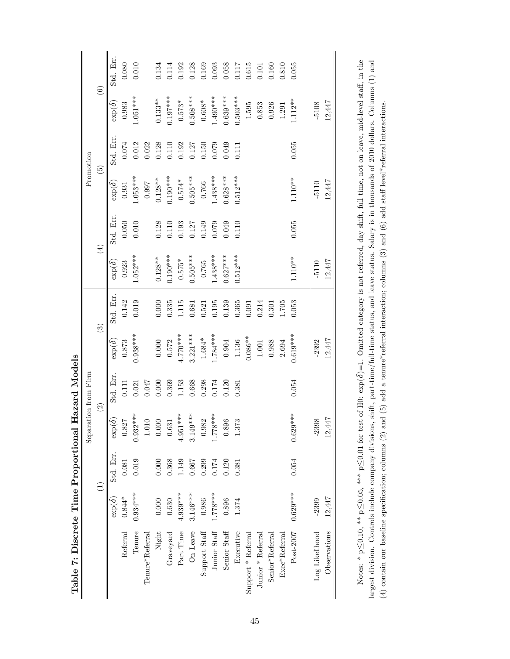|                                     |                      |                              | Std. Em.       | $0.080\,$ | 0.010      |                                                        | 0.134              | 0.114       | 0.192      | 0.128      | 0.169              | 0.93         | 0.058        | $0.117$        | $0.615\,$          | $0.101\,$         | $0.160\,$       | 0.810         | 0.055       |                |              |
|-------------------------------------|----------------------|------------------------------|----------------|-----------|------------|--------------------------------------------------------|--------------------|-------------|------------|------------|--------------------|--------------|--------------|----------------|--------------------|-------------------|-----------------|---------------|-------------|----------------|--------------|
|                                     |                      | $\left( 6\right)$            | $\exp(\delta)$ | 0.983     | $1.051***$ |                                                        | $0.133***$         | $0.197***$  | $0.573*$   | $0.508***$ | $0.608^*$          | $1.490***$   | $0.639***$   | $0.503***$     | $1.595\,$          | 0.853             | 0.926           | 1.291         | $1.112**$   | $-5108$        | 12,447       |
|                                     | Promotion            | $\widehat{5}$                | Std. Err       | 0.074     | 0.012      | 0.022                                                  | 0.128              | 0.110       | 0.192      | $0.127\,$  | 0.150              | 0.079        | 0.049        | 0.111          |                    |                   |                 |               | 0.055       |                |              |
|                                     |                      |                              | $\exp(\delta)$ | 0.931     | $1.053***$ | <b>1660</b>                                            | $0.128**$          | $0.190***$  | $0.574*$   | $0.505***$ | 0.766              | $1.438***$   | $0.628***$   | $0.512***$     |                    |                   |                 |               | $1.110**$   | $-5110$        | 12,447       |
|                                     |                      | $\left( \frac{1}{2} \right)$ | Std. Err       | 0.050     | 0.010      |                                                        | 0.128              | 0.110       | 0.193      | 0.127      | 0.149              | 0.079        | 0.049        | 0.110          |                    |                   |                 |               | 0.055       |                |              |
|                                     |                      |                              | $\exp(\delta)$ | 0.923     | $1.052***$ |                                                        | $0.128**$          | $0.190***$  | $0.575*$   | $0.505***$ | 0.765              | $1.438***$   | $0.627***$   | $0.512***$     |                    |                   |                 |               | $1.110**$   | $-5110$        | 12,447       |
|                                     |                      |                              | Std. Err       | $\!0.142$ | 0.019      |                                                        | 0.000              | 0.335       | $1.115$    | 0.681      | 0.521              | 0.195        | 0.139        | 0.365          | 0.091              | 0.214             | 0.301           | 1.705         | 0.053       |                |              |
|                                     |                      | $\binom{3}{2}$               | $\exp(\delta)$ | 0.873     | $0.938***$ |                                                        | $0.000\,$          | $0.572\,$   | $4**027.1$ | $3.221***$ | $1.684\hbox{{}^*}$ | $1.784***$   | $\rm 0.904$  | 1.136          | $0.086**$          | $1.001\,$         | 0.988           | 2.694         | $0.619***$  | $-2392$        | 12,447       |
| Hazard Models                       | Separation from Firm |                              | Std. Err.      | $\!0.111$ |            | $\begin{array}{c} 0.021 \\ 0.047 \\ 0.000 \end{array}$ |                    | 0.369       | 1.153      | 0.668      | 0.298              | 1.174        | 0.120        | 0.381          |                    |                   |                 |               | 0.054       |                |              |
|                                     |                      | $\odot$                      | $\exp(\delta)$ | 0.827     | $0.932***$ |                                                        | $1.010$<br>$0.000$ | $\,0.631\,$ | $4.951***$ | $3.149***$ | 0.982              | $1.778***$   | 0.896        | 73<br>ن<br>1.3 |                    |                   |                 |               | $0.629***$  | $-2398$        | 12,447       |
|                                     |                      | $\widehat{\Xi}$              | Std. Err.      | 0.081     | 0.019      |                                                        | 0.000              | 0.368       | 1.149      | 1.667      | 0.299              | 1.174        | 0.120        | 0.381          |                    |                   |                 |               | 0.054       |                |              |
|                                     |                      |                              | $\exp(\delta)$ | $0.844*$  | $0.934***$ |                                                        | 0.000              | 0.630       | $4.939***$ | $3.146***$ | 0.986              | $1.778***$   | 0.896        | 1.374          |                    |                   |                 |               | $0.629***$  | $-2399$        | 12,447       |
| Table 7: Discrete Time Proportional |                      |                              |                | Referral  | Tenure     | Tenure*Referral                                        | Night              | Graveyard   | Part Time  | On Leave   | Support Staff      | Junior Staff | Senior Staff | Executive      | Support * Referral | Junior * Referral | Senior*Referral | Exec*Referral | $Post-2007$ | Log Likelihood | Observations |

Notes: \*  $p \le 0.10$ , \*\*  $p \le 0.05$ , \*\*\*  $p \le 0.01$  for test of H0: exp $(\delta)=1$ . Omitted category is not referred, day shift, full time, not on leave, mid-level staff, in the largest division. Controls include company divisions, shift, part-time/full-time status, and leave status. Salary is in thousands of 2010 dollars. Columns (1) and Notes: \*  $p\leq 0.10$ , \*\*\*  $p\leq 0.05$ , \*\*\*  $p\leq 0.01$  for test of H0: exp( $\delta$ )=1. Omitted category is not referred, day shift, full time, not on leave, mid-level staff, in the largest division. Controls include company divisions, shift, part-time/full-time status, and leave status. Salary is in thousands of 2010 dollars. Columns (1) and (4) contain our baseline specification; columns (2) and (5) add a tenure\*referral interaction; columns (3) and (6) add staff level\*referral interactions. (4) contain our baseline specification; columns (2) and (5) add a tenure\*referral interaction; columns (3) and (6) add staff level\*referral interactions.

45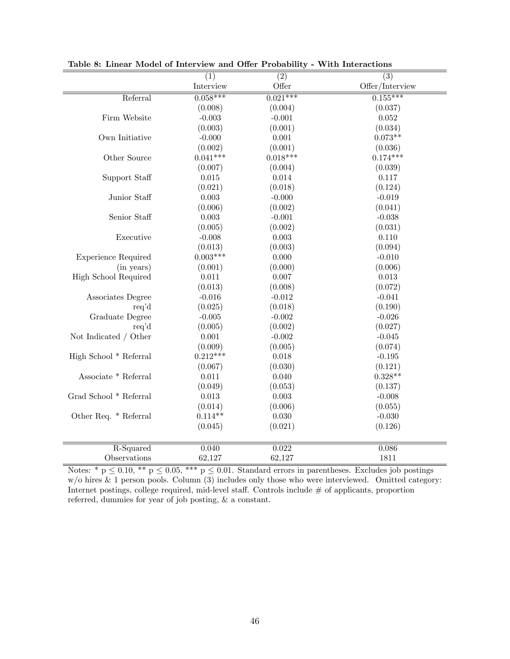|                            | (1)         | $\overline{(2)}$ | $\overline{(3)}$ |
|----------------------------|-------------|------------------|------------------|
|                            | Interview   | Offer            | Offer/Interview  |
| Referral                   | $0.058***$  | $0.021***$       | $0.155***$       |
|                            | (0.008)     | (0.004)          | (0.037)          |
| Firm Website               | $-0.003$    | $-0.001$         | 0.052            |
|                            | (0.003)     | (0.001)          | (0.034)          |
| Own Initiative             | $-0.000$    | 0.001            | $0.073**$        |
|                            | (0.002)     | (0.001)          | (0.036)          |
| Other Source               | $0.041***$  | $0.018***$       | $0.174***$       |
|                            | (0.007)     | (0.004)          | (0.039)          |
| Support Staff              | 0.015       | 0.014            | 0.117            |
|                            | (0.021)     | (0.018)          | (0.124)          |
| Junior Staff               | 0.003       | $-0.000$         | $-0.019$         |
|                            | (0.006)     | (0.002)          | (0.041)          |
| Senior Staff               | $\,0.003\,$ | $-0.001$         | $-0.038$         |
|                            | (0.005)     | (0.002)          | (0.031)          |
| Executive                  | $-0.008$    | 0.003            | 0.110            |
|                            | (0.013)     | (0.003)          | (0.094)          |
| <b>Experience Required</b> | $0.003***$  | 0.000            | $-0.010$         |
| (in years)                 | (0.001)     | (0.000)          | (0.006)          |
| High School Required       | 0.011       | 0.007            | 0.013            |
|                            | (0.013)     | (0.008)          | (0.072)          |
| Associates Degree          | $-0.016$    | $-0.012$         | $-0.041$         |
| req'd                      | (0.025)     | (0.018)          | (0.190)          |
| Graduate Degree            | $-0.005$    | $-0.002$         | $-0.026$         |
| req'd                      | (0.005)     | (0.002)          | (0.027)          |
| Not Indicated / Other      | 0.001       | $-0.002$         | $-0.045$         |
|                            | (0.009)     | (0.005)          | (0.074)          |
| High School * Referral     | $0.212***$  | 0.018            | $-0.195$         |
|                            | (0.067)     | (0.030)          | (0.121)          |
| Associate * Referral       | 0.011       | 0.040            | $0.328**$        |
|                            | (0.049)     | (0.053)          | (0.137)          |
| Grad School * Referral     | 0.013       | $0.003\,$        | $-0.008$         |
|                            | (0.014)     | (0.006)          | (0.055)          |
| Other Req. * Referral      | $0.114**$   | 0.030            | $-0.030$         |
|                            | (0.045)     | (0.021)          | (0.126)          |
| R-Squared                  | 0.040       | 0.022            | 0.086            |
| Observations               | 62,127      | 62,127           | 1811             |

Table 8: Linear Model of Interview and Offer Probability - With Interactions

Notes: \*  $p \le 0.10$ , \*\*  $p \le 0.05$ , \*\*\*  $p \le 0.01$ . Standard errors in parentheses. Excludes job postings  $w$  o hires & 1 person pools. Column (3) includes only those who were interviewed. Omitted category: Internet postings, college required, mid-level staff. Controls include  $#$  of applicants, proportion referred, dummies for year of job posting, & a constant.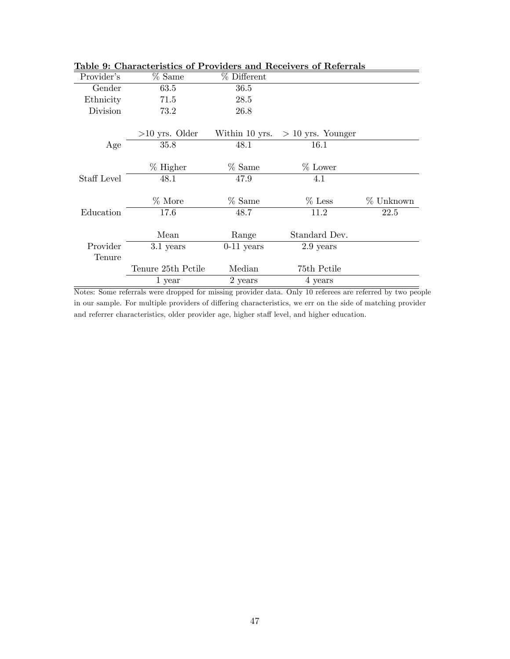| Provider's  | $%$ Same           | % Different    |                     |           |
|-------------|--------------------|----------------|---------------------|-----------|
| Gender      | 63.5               | $36.5\,$       |                     |           |
| Ethnicity   | 71.5               | 28.5           |                     |           |
| Division    | 73.2               | 26.8           |                     |           |
|             |                    |                |                     |           |
|             | $>10$ yrs. Older   | Within 10 yrs. | $> 10$ yrs. Younger |           |
| Age         | 35.8               | 48.1           | 16.1                |           |
|             |                    |                |                     |           |
|             | $%$ Higher         | $%$ Same       | $%$ Lower           |           |
| Staff Level | 48.1               | 47.9           | 4.1                 |           |
|             |                    |                |                     |           |
|             | $%$ More           | $%$ Same       | $\%$ Less           | % Unknown |
| Education   | 17.6               | 48.7           | 11.2                | 22.5      |
|             |                    |                |                     |           |
|             | Mean               | Range          | Standard Dev.       |           |
| Provider    | 3.1 years          | $0-11$ years   | $2.9$ years         |           |
| Tenure      |                    |                |                     |           |
|             | Tenure 25th Pctile | Median         | 75th Pctile         |           |
|             | 1 year             | 2 years        | 4 years             |           |

Table 9: Characteristics of Providers and Receivers of Referrals

Notes: Some referrals were dropped for missing provider data. Only 10 referees are referred by two people in our sample. For multiple providers of differing characteristics, we err on the side of matching provider and referrer characteristics, older provider age, higher staff level, and higher education.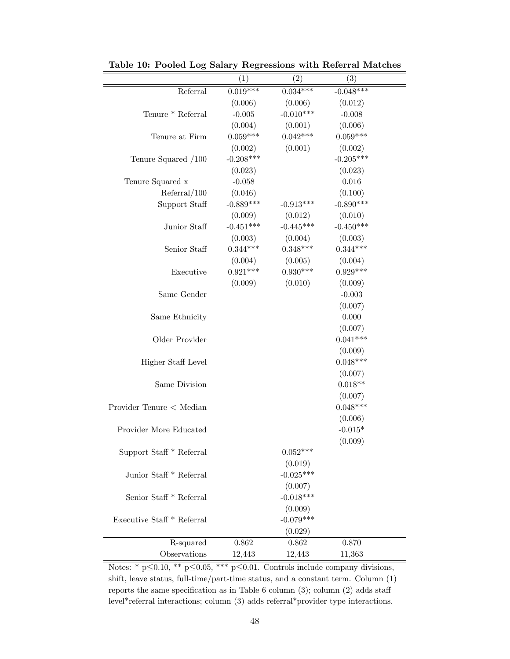|                                       | (1)         | (2)         | $\left( 3\right)$ |  |
|---------------------------------------|-------------|-------------|-------------------|--|
| Referral                              | $0.019***$  | $0.034***$  | $-0.048***$       |  |
|                                       | (0.006)     | (0.006)     | (0.012)           |  |
| Tenure * Referral                     | $-0.005$    | $-0.010***$ | $-0.008$          |  |
|                                       | (0.004)     | (0.001)     | (0.006)           |  |
| Tenure at Firm                        | $0.059***$  | $0.042***$  | $0.059***$        |  |
|                                       | (0.002)     | (0.001)     | (0.002)           |  |
| Tenure Squared /100                   | $-0.208***$ |             | $-0.205***$       |  |
|                                       | (0.023)     |             | (0.023)           |  |
| Tenure Squared x                      | $-0.058$    |             | 0.016             |  |
| Referral/100                          | (0.046)     |             | (0.100)           |  |
| Support Staff                         | $-0.889***$ | $-0.913***$ | $-0.890***$       |  |
|                                       | (0.009)     | (0.012)     | (0.010)           |  |
| Junior Staff                          | $-0.451***$ | $-0.445***$ | $-0.450***$       |  |
|                                       | (0.003)     | (0.004)     | (0.003)           |  |
| Senior Staff                          | $0.344***$  | $0.348***$  | $0.344***$        |  |
|                                       | (0.004)     | (0.005)     | (0.004)           |  |
| Executive                             | $0.921***$  | $0.930***$  | $0.929***$        |  |
|                                       | (0.009)     | (0.010)     | (0.009)           |  |
| Same Gender                           |             |             | $-0.003$          |  |
|                                       |             |             | (0.007)           |  |
| Same Ethnicity                        |             |             | 0.000             |  |
|                                       |             |             | (0.007)           |  |
| Older Provider                        |             |             | $0.041***$        |  |
|                                       |             |             | (0.009)           |  |
| Higher Staff Level                    |             |             | $0.048***$        |  |
|                                       |             |             | (0.007)           |  |
| Same Division                         |             |             | $0.018**$         |  |
|                                       |             |             | (0.007)           |  |
| Provider Tenure < Median              |             |             | $0.048***$        |  |
|                                       |             |             | (0.006)           |  |
| Provider More Educated                |             |             | $-0.015*$         |  |
|                                       |             |             | (0.009)           |  |
| Support Staff * Referral              |             | $0.052***$  |                   |  |
|                                       |             | (0.019)     |                   |  |
| Junior Staff <sup>*</sup> Referral    |             | $-0.025***$ |                   |  |
|                                       |             | (0.007)     |                   |  |
| Senior Staff * Referral               |             | $-0.018***$ |                   |  |
|                                       |             | (0.009)     |                   |  |
| Executive Staff <sup>*</sup> Referral |             | $-0.079***$ |                   |  |
|                                       |             | (0.029)     |                   |  |
| R-squared                             | 0.862       | 0.862       | 0.870             |  |
| Observations                          | 12,443      | 12,443      | 11,363            |  |

Table 10: Pooled Log Salary Regressions with Referral Matches

Notes: \*  $p\leq 0.10$ , \*\*  $p\leq 0.05$ , \*\*\*  $p\leq 0.01$ . Controls include company divisions, shift, leave status, full-time/part-time status, and a constant term. Column (1) reports the same specification as in Table 6 column  $(3)$ ; column  $(2)$  adds staff level\*referral interactions; column (3) adds referral\*provider type interactions.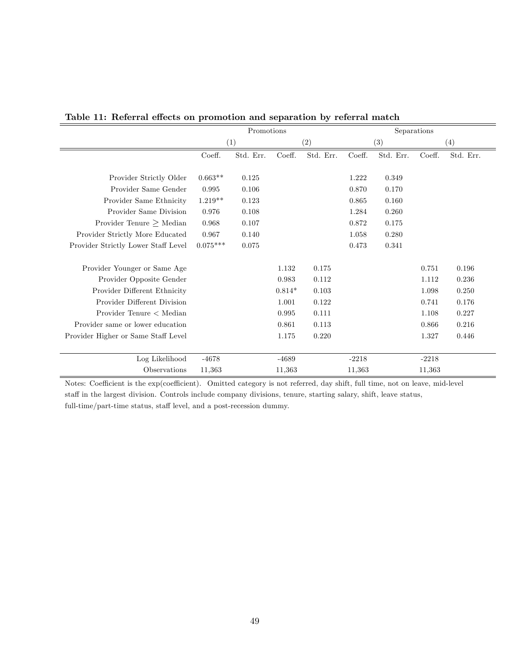|                                     |            | Promotions |          |           |         | Separations |         |           |  |  |
|-------------------------------------|------------|------------|----------|-----------|---------|-------------|---------|-----------|--|--|
|                                     |            | (1)        |          | (2)       |         | (3)         | (4)     |           |  |  |
|                                     | Coeff.     | Std. Err.  | Coeff.   | Std. Err. | Coeff.  | Std. Err.   | Coeff.  | Std. Err. |  |  |
|                                     |            |            |          |           |         |             |         |           |  |  |
| Provider Strictly Older             | $0.663**$  | 0.125      |          |           | 1.222   | 0.349       |         |           |  |  |
| Provider Same Gender                | 0.995      | 0.106      |          |           | 0.870   | 0.170       |         |           |  |  |
| Provider Same Ethnicity             | $1.219**$  | 0.123      |          |           | 0.865   | 0.160       |         |           |  |  |
| Provider Same Division              | 0.976      | 0.108      |          |           | 1.284   | 0.260       |         |           |  |  |
| Provider Tenure $\geq$ Median       | 0.968      | 0.107      |          |           | 0.872   | 0.175       |         |           |  |  |
| Provider Strictly More Educated     | 0.967      | 0.140      |          |           | 1.058   | 0.280       |         |           |  |  |
| Provider Strictly Lower Staff Level | $0.075***$ | 0.075      |          |           | 0.473   | 0.341       |         |           |  |  |
| Provider Younger or Same Age        |            |            | 1.132    | 0.175     |         |             | 0.751   | 0.196     |  |  |
| Provider Opposite Gender            |            |            | 0.983    | 0.112     |         |             | 1.112   | 0.236     |  |  |
| Provider Different Ethnicity        |            |            | $0.814*$ | 0.103     |         |             | 1.098   | 0.250     |  |  |
| Provider Different Division         |            |            | 1.001    | 0.122     |         |             | 0.741   | 0.176     |  |  |
| Provider Tenure < Median            |            |            | 0.995    | 0.111     |         |             | 1.108   | 0.227     |  |  |
| Provider same or lower education    |            |            | 0.861    | 0.113     |         |             | 0.866   | 0.216     |  |  |
| Provider Higher or Same Staff Level |            |            | 1.175    | 0.220     |         |             | 1.327   | 0.446     |  |  |
|                                     |            |            |          |           |         |             |         |           |  |  |
| Log Likelihood                      | $-4678$    |            | $-4689$  |           | $-2218$ |             | $-2218$ |           |  |  |
| Observations                        | 11,363     |            | 11,363   |           | 11,363  |             | 11,363  |           |  |  |

#### Table 11: Referral effects on promotion and separation by referral match

Notes: Coefficient is the exp(coefficient). Omitted category is not referred, day shift, full time, not on leave, mid-level staff in the largest division. Controls include company divisions, tenure, starting salary, shift, leave status, full-time/part-time status, staff level, and a post-recession dummy.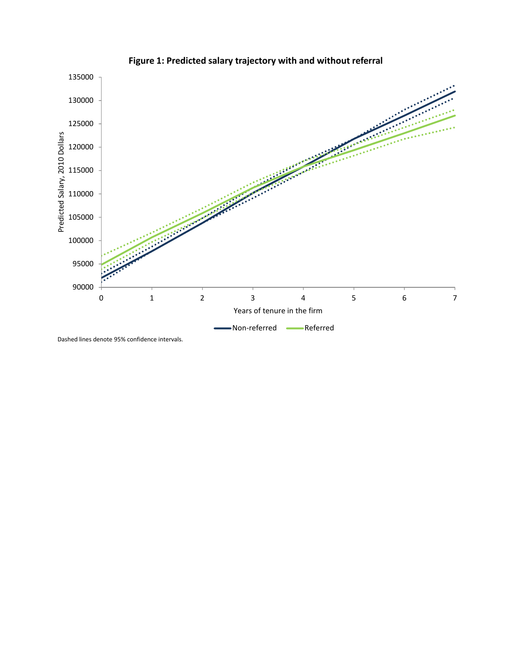

**Figure 1: Predicted salary trajectory with and without referral**

Dashed lines denote 95% confidence intervals.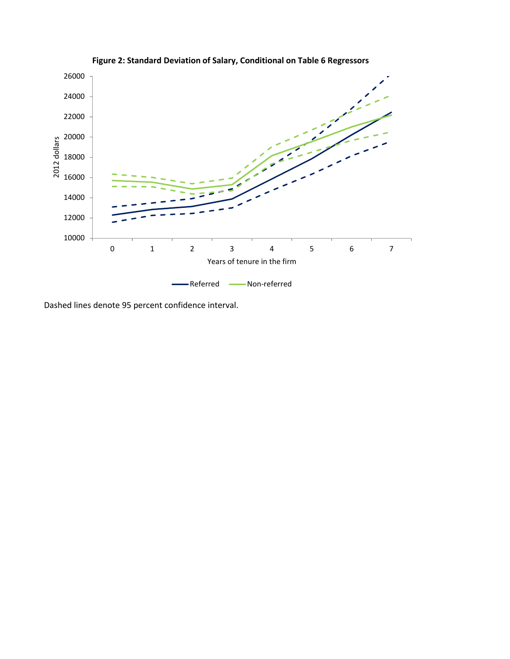



Dashed lines denote 95 percent confidence interval.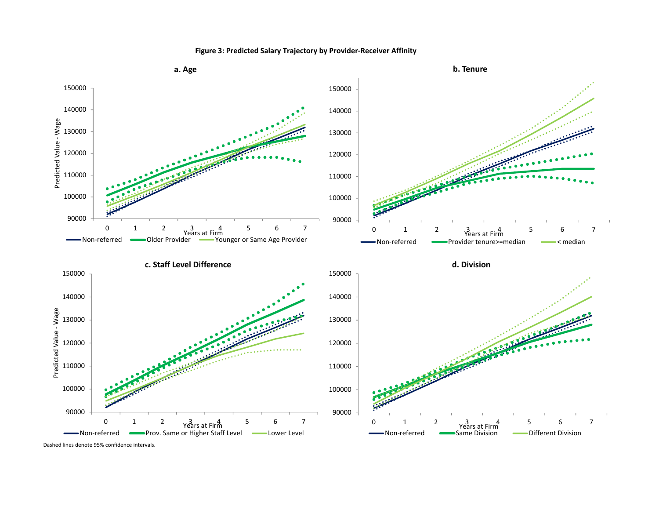#### **Figure 3: Predicted Salary Trajectory by Provider‐Receiver Affinity**



Dashed lines denote 95% confidence intervals.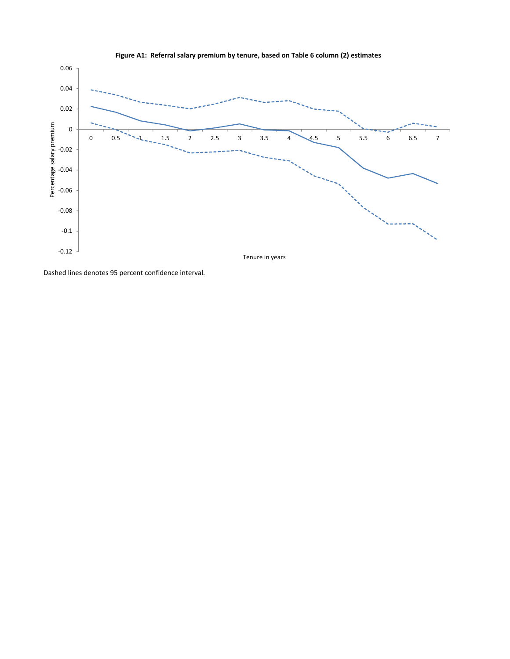

**Figure A1: Referral salary premium by tenure, based on Table 6 column (2) estimates**

Dashed lines denotes 95 percent confidence interval.